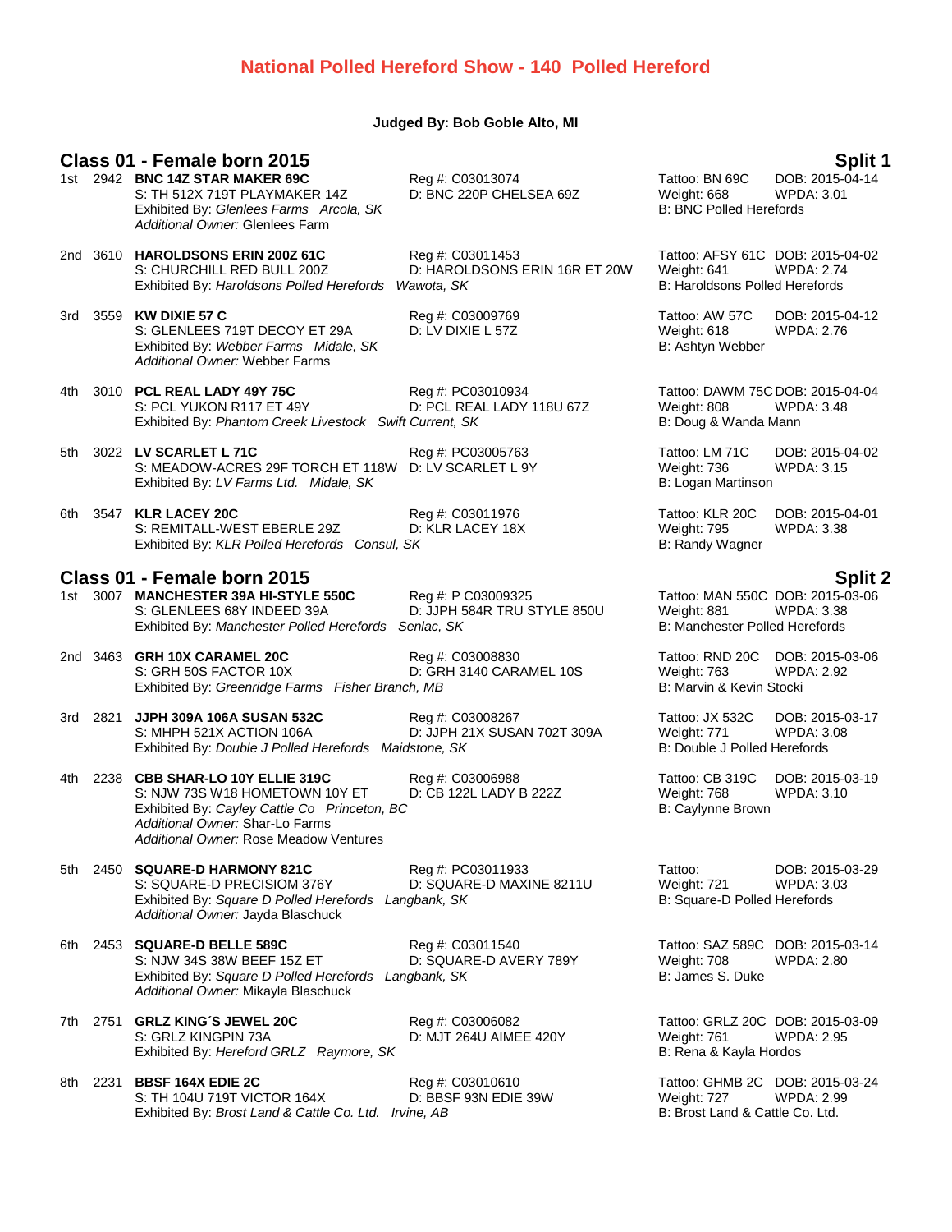### **National Polled Hereford Show - 140 Polled Hereford**

### **Judged By: Bob Goble Alto, MI**

## **Class 01 - Female born 2015 Split 1**

- 1st 2942 **BNC 14Z STAR MAKER 69C** Reg #: C03013074 **Tattoo: BN 6**<br>S: TH 512X 719T PLAYMAKER 14Z D: BNC 220P CHELSEA 69Z Weight: 668 S: TH 512X 719T PLAYMAKER 14Z D: BNC 220P CHELSEA 69Z Weight: 668 WPDA: 3.01 Exhibited By: Glenlees Farms Arcola, SK B: BNC Polled Herefords *Additional Owner:* Glenlees Farm
- 2nd 3610 **HAROLDSONS ERIN 200Z 61C** Reg #: C03011453 Tattoo: AFSY 61C DOB: 2015-04-02 S: CHURCHILL RED BULL 200Z D: HAROLDSONS ERIN 16R ET 20W Weight: 641 WPDA: 2.74<br>Exhibited By: Haroldsons Polled Herefords Wawota, SK B: Haroldsons Polled Herefords Exhibited By: Haroldsons Polled Herefords Wawota, SK
- 3rd 3559 **KW DIXIE 57 C** Reg #: C03009769 Tattoo: AW 57C DOB: 2015-04-12 S: GLENLEES 719T DECOY ET 29A D: LV DIXIE L 57Z Weight: 618 WPDA: 2.76<br>
Exhibited By: Webber Farms Midale, SK B: Ashtyn Webber B: Ashtyn Webber Exhibited By: Webber Farms Midale, SK *Additional Owner:* Webber Farms

- 4th 3010 **PCL REAL LADY 49Y 75C** Reg #: PC03010934 Tattoo: DAWM 75C DOB: 2015-04-04<br>S: PCL YUKON R117 ET 49Y D: PCL REAL LADY 118U 67Z Weight: 808 WPDA: 3.48 Exhibited By: *Phantom Creek Livestock Swift Current, SK* B: Doug & Wanda Mann
- 5th 3022 **LV SCARLET L 71C** Reg #: PC03005763 Tattoo: LM 71C DOB: 2015-04-02 S: MEADOW-ACRES 29F TORCH ET 118W D: LV SCARLET L 9Y Weight: 736 WPDA: 3.15 Exhibited By: *LV Farms Ltd. Midale, SK* B: Logan Martinson
- 6th 3547 **KLR LACEY 20C** Reg #: C03011976 Tattoo: KLR 20C DOB: 2015-04-01<br>S: REMITALL-WEST EBERLE 29Z D: KLR LACEY 18X Weight: 795 WPDA: 3.38 S: REMITALL-WEST EBERLE 29Z D: KLR LACEY 18X Weight: 795<br>
Exhibited By: KLR Polled Herefords Consul, SK B: Randy Wagner Exhibited By: *KLR Polled Herefords Consul, SK*

### **Class 01 - Female born 2015 Split 2**

- 1st 3007 **MANCHESTER 39A HI-STYLE 550C** Reg #: P C03009325 Tattoo: MAN 550C DOB: 2015-03-06 S: GLENLEES 68Y INDEED 39A D: JJPH 584R TRU STYLE 850U Weight: 881 WPDA: 3.38 Exhibited By: *Manchester Polled Herefords Senlac, SK* B: Manchester Polled Herefords
- 2nd 3463 **GRH 10X CARAMEL 20C** Reg #: C03008830 Tattoo: RND 20C DOB: 2015-03-06 S: GRH 50S FACTOR 10X D: GRH 3140 CARAMEL 10S Weight: 763 WPD<br>Exhibited By: Greenridge Farms Fisher Branch. MB CARAMEL 10S B: Marvin & Kevin Stocki Exhibited By: *Greenridge Farms Fisher Branch, MB*
- 3rd 2821 **JJPH 309A 106A SUSAN 532C** Reg #: C03008267 Tattoo: JX 532C DOB: 2015-03-17 Exhibited By: *Double J Polled Herefords Maidstone, SK*
- 4th 2238 **CBB SHAR-LO 10Y ELLIE 319C** Reg #: C03006988 Tattoo: CB 319C DOB: 2015-03-19 S: NJW 73S W18 HOMETOWN 10Y ET Exhibited By: Cayley Cattle Co Princeton, BC B: Caylynne Brown *Additional Owner:* Shar-Lo Farms *Additional Owner:* Rose Meadow Ventures
- 5th 2450 **SQUARE-D HARMONY 821C** Reg #: PC03011933 Tattoo: DOB: 2015-03-29 S: SQUARE-D PRECISIOM 376Y D: SQUARE-D MAXINE 8211U Weight: 721 WPDA: 3.<br>Exhibited By: Square D Polled Herefords Langbank, SK B: Square-D Polled Herefords Exhibited By: *Square D Polled Herefords Langbank*, SK *Additional Owner:* Jayda Blaschuck

- 6th 2453 **SQUARE-D BELLE 589C** Reg #: C03011540 Tattoo: SAZ 589C DOB: 2015-03-14 S: NJW 34S 38W BEEF 15Z ET D: SQUARE-D AVERY 789Y Weight: 708 WPDA: 2.80 Exhibited By: *Square D Polled Herefords Langbank, SK* B: James S. Duke *Additional Owner:* Mikayla Blaschuck
- 7th 2751 **GRLZ KING´S JEWEL 20C** Reg #: C03006082 Tattoo: GRLZ 20C DOB: 2015-03-09 S: GRLZ KINGPIN 73A D: MJT 264U AIMEE 420Y Weight: 761 WPDA: 2.95 Exhibited By: *Hereford GRLZ Raymore, SK* B: Rena & Kayla Hordos
- 8th 2231 **BBSF 164X EDIE 2C** Reg #: C03010610 Reg #: C03010610 Tattoo: GHMB 2C DOB: 2015-03-24<br>S: TH 104U 719T VICTOR 164X D: BBSF 93N EDIE 39W Weight: 727 WPDA: 2.99 S: TH 104U 719T VICTOR 164X D: BBSF 93N EDIE 39W Weight: 727 WPDA: 2.99<br>Exhibited By: Brost Land & Cattle Co. Ltd. Irvine, AB B: Brost Land & Cattle Co. Ltd. Exhibited By: *Brost Land & Cattle Co. Ltd. Irvine, AB*

D: PCL REAL LADY 118U 67Z Weight: 808 WPDA: 3.48

D: JJPH 21X SUSAN 702T 309A Weight: 771 WPDA: 3.09A D: JJPH 21X SUSAN 702T 309A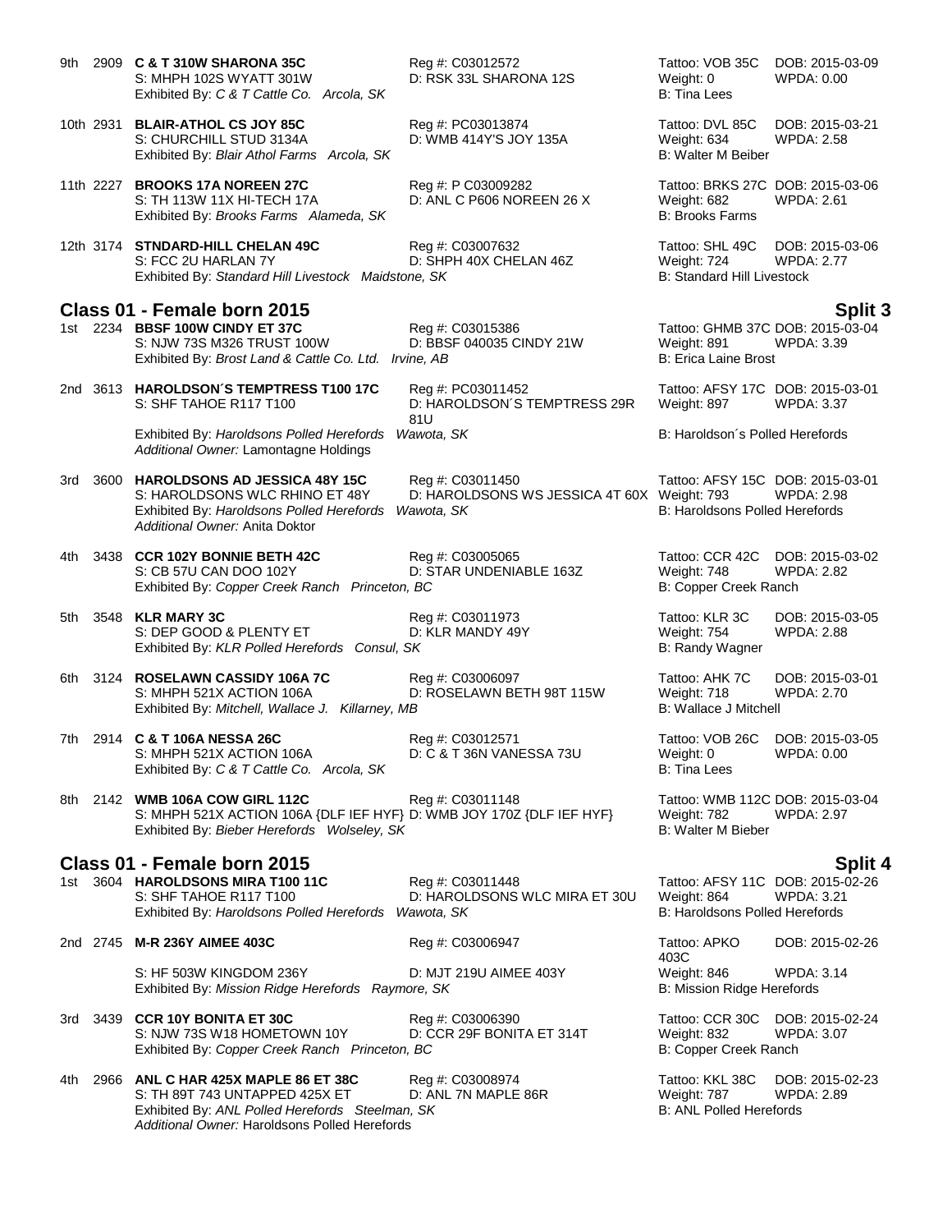- 9th 2909 **C & T 310W SHARONA 35C** Reg #: C03012572 Tattoo: VOB 35C DOB: 2015-03-09<br>S: MHPH 102S WYATT 301W D: RSK 33L SHARONA 12S Weight: 0 WPDA: 0.00 S: MHPH 102S WYATT 301W D: RSK 33L SHARONA 12S Weight: 0 Exhibited By: *C & T Cattle Co. Arcola, SK* B: Tina Lees
- S: CHURCHILL STUD 3134A D: WMB 414Y'S JOY 135A Weight: 634 WPDA: 2.58 Exhibited By: *Blair Athol Farms Arcola, SK* B: Walter M Beiber
- 11th 2227 **BROOKS 17A NOREEN 27C** Reg #: P C03009282 Tattoo: BRKS 27C DOB: 2015-03-06 S: TH 113W 11X HI-TECH 17A D: ANL C P606 NOREEN 26 X Weight: 682 WPDA: 2.61 Exhibited By: *Brooks Farms Alameda, SK* B: **B: Brooks Farms Alameda, SK** B: Brooks Farms

D: HAROLDSON´S TEMPTRESS 29R

12th 3174 **STNDARD-HILL CHELAN 49C** Reg #: C03007632 Tattoo: SHL 49C DOB: 2015-03-06 S: FCC 2U HARLAN 7Y **D: SHPH 40X CHELAN 46Z** Weight: 724 WPDA: 2.77<br>Exhibited By: Standard Hill Livestock Maidstone, SK B: Standard Hill Livestock Exhibited By: Standard Hill Livestock Maidstone, SK

# **Class 01 - Female born 2015 Split 3**

Exhibited By: *Brost Land & Cattle Co. Ltd. Irvine, AB* 

2nd 3613 **HAROLDSON´S TEMPTRESS T100 17C** Reg #: PC03011452 Tattoo: AFSY 17C DOB: 2015-03-01

81U Exhibited By: *Haroldsons Polled Herefords Wawota, SK* B: Haroldson's Polled Herefords **B:** Haroldson's Polled Herefords *Additional Owner:* Lamontagne Holdings

3rd 3600 **HAROLDSONS AD JESSICA 48Y 15C** Reg #: C03011450 Tattoo: AFSY 15C DOB: 2015-03-01 S: HAROLDSONS WLC RHINO ET 48Y D: HAROLDSONS WS JESSICA 4T 60X Weight: 793 WPDA: 2.98 Exhibited By: *Haroldsons Polled Herefords Wawota, SK* B: Haroldsons Polled Herefords *Additional Owner:* Anita Doktor

4th 3438 **CCR 102Y BONNIE BETH 42C** Reg #: C03005065 Tattoo: CCR 42C DOB: 2015-03-02 D: STAR UNDENIABLE 163Z Exhibited By: *Copper Creek Ranch Princeton, BC* B: Copper Creek Ranch

- 5th 3548 **KLR MARY 3C** Reg #: C03011973 Tattoo: KLR 3C DOB: 2015-03-05 S: DEP GOOD & PLENTY ET Exhibited By: *KLR Polled Herefords Consul, SK* B: Randy Wagner
- 6th 3124 **ROSELAWN CASSIDY 106A 7C** Reg #: C03006097 Tattoo: AHK 7C DOB: 2015-03-01 S: MHPH 521X ACTION 106A D: ROSELAWN BETH 98T 115W Weight: 718 WPDA: 2.70<br>Exhibited By: *Mitchell. Wallace J. Killarnev. MB* B: Wallace J Mitchell Exhibited By: Mitchell, Wallace J. Killarney, MB
- 7th 2914 **C & T 106A NESSA 26C** Reg #: C03012571 Tattoo: VOB 26C DOB: 2015-03-05 S: MHPH 521X ACTION 106A D: C & T 36N VANESSA 73U Weight: 0 WPDA: 0.00<br>
Exhibited By: C & T Cattle Co. Arcola. SK B: Tina Lees Exhibited By: C & T Cattle Co. Arcola, SK

8th 2142 **WMB 106A COW GIRL 112C** Reg #: C03011148 Tattoo: WMB 112C DOB: 2015-03-04<br>S: MHPH 521X ACTION 106A {DLF IEF HYF} D: WMB JOY 170Z {DLF IEF HYF} Weight: 782 WPDA: 2.97 S: MHPH 521X ACTION 106A {DLF IEF HYF} D: WMB JOY 170Z {DLF IEF HYF} Weight: 782<br>Exhibited By: *Bieber Herefords Wolseley. SK* B: 2.977 B: Walter M Bieber Exhibited By: Bieber Herefords Wolseley, SK

### **Class 01 - Female born 2015 Split 4**

1st 3604 **HAROLDSONS MIRA T100 11C** Reg #: C03011448 Tattoo: AFSY 11C DOB: 2015-02-26 Exhibited By: *Haroldsons Polled Herefords Wawota, SK* 

D: HAROLDSONS WLC MIRA ET 30U Weight: 864 WPDA: 3.21<br>S: Haroldsons Polled Herefords

2nd 2745 **M-R 236Y AIMEE 403C** Reg #: C03006947 Tattoo: APKO

S: HF 503W KINGDOM 236Y D: MJT 219U AIMEE 403Y Weight: 846 WPDA: 3.14 Exhibited By: *Mission Ridge Herefords Raymore, SK* B: Mission Ridge Herefords **B**: Mission Ridge Herefords

- 3rd 3439 **CCR 10Y BONITA ET 30C** Reg #: C03006390 Tattoo: CCR 30C DOB: 2015-02-24 S: NJW 73S W18 HOMETOWN 10Y D: CCR 29F BONITA ET 314T Weight: 832 WPDA: 3.07 Exhibited By: *Copper Creek Ranch Princeton, BC* B: Copper Creek Ranch
- 4th 2966 **ANL C HAR 425X MAPLE 86 ET 38C** Reg #: C03008974 Tattoo: KKL 38C DOB: 2015-02-23 S: TH 89T 743 UNTAPPED 425X ET 
D: ANL 7N MAPLE 86R
B: ANL Polled Herefords
B: ANL Polled Herefords
Steelman, SK
B: ANL Polled Herefords
B: ANL Polled Herefords
Steelman, SK
B: ANL Polled Herefords

D: 2.89 B: ANL Polled H Exhibited By: ANL Polled Herefords Steelman, SK *Additional Owner:* Haroldsons Polled Herefords

10th 2931 **BLAIR-ATHOL CS JOY 85C** Reg #: PC03013874 Tattoo: DVL 85C DOB: 2015-03-21

**1st 2235 BBSF 100W CINDY ET 37C** Reg #: C03015386 Tattoo: GHMB 37C DOB: 2015-03-04<br>
S: NJW 73S M326 TRUST 100W D: BBSF 040035 CINDY 21W Weight: 891 WPDA: 3.39 D: BBSF 040035 CINDY 21W Weight: 891 WPDA: 3.39<br>
ine. AB B: Erica Laine Brost

WPDA: 3.37

403C<br>Weight: 846 DOB: 2015-02-26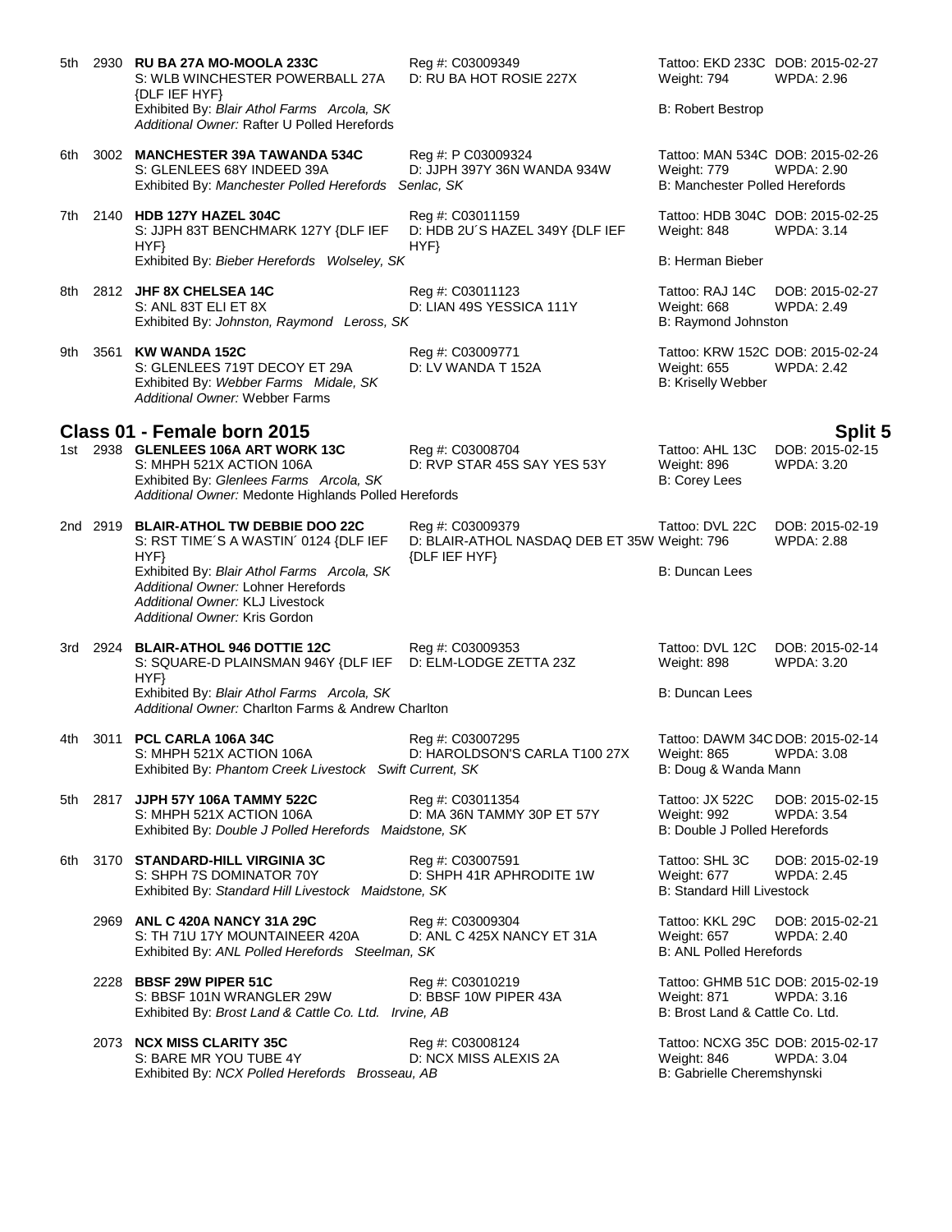| 5th |      | 2930 RU BA 27A MO-MOOLA 233C<br>S: WLB WINCHESTER POWERBALL 27A<br>{DLF IEF HYF}                                                                                   | Reg #: C03009349<br>D: RU BA HOT ROSIE 227X                     | Tattoo: EKD 233C DOB: 2015-02-27<br>Weight: 794                                     | WPDA: 2.96                           |
|-----|------|--------------------------------------------------------------------------------------------------------------------------------------------------------------------|-----------------------------------------------------------------|-------------------------------------------------------------------------------------|--------------------------------------|
|     |      | Exhibited By: Blair Athol Farms Arcola, SK<br>Additional Owner: Rafter U Polled Herefords                                                                          |                                                                 | <b>B: Robert Bestrop</b>                                                            |                                      |
| 6th |      | 3002 MANCHESTER 39A TAWANDA 534C<br>S: GLENLEES 68Y INDEED 39A<br>Exhibited By: Manchester Polled Herefords                                                        | Reg #: P C03009324<br>D: JJPH 397Y 36N WANDA 934W<br>Senlac, SK | Tattoo: MAN 534C DOB: 2015-02-26<br>Weight: 779<br>B: Manchester Polled Herefords   | <b>WPDA: 2.90</b>                    |
| 7th |      | 2140 HDB 127Y HAZEL 304C<br>S: JJPH 83T BENCHMARK 127Y {DLF IEF<br>HYP                                                                                             | Reg #: C03011159<br>D: HDB 2U'S HAZEL 349Y {DLF IEF<br>HYP      | Tattoo: HDB 304C DOB: 2015-02-25<br>Weight: 848                                     | <b>WPDA: 3.14</b>                    |
|     |      | Exhibited By: Bieber Herefords Wolseley, SK                                                                                                                        |                                                                 | <b>B: Herman Bieber</b>                                                             |                                      |
|     |      | 8th 2812 JHF 8X CHELSEA 14C<br>S: ANL 83T ELI ET 8X<br>Exhibited By: Johnston, Raymond Leross, SK                                                                  | Reg #: C03011123<br>D: LIAN 49S YESSICA 111Y                    | Tattoo: RAJ 14C<br>Weight: 668<br>B: Raymond Johnston                               | DOB: 2015-02-27<br>WPDA: 2.49        |
| 9th |      | 3561 KW WANDA 152C<br>S: GLENLEES 719T DECOY ET 29A<br>Exhibited By: Webber Farms Midale, SK<br>Additional Owner: Webber Farms                                     | Reg #: C03009771<br>D: LV WANDA T 152A                          | Tattoo: KRW 152C DOB: 2015-02-24<br><b>Weight: 655</b><br><b>B: Kriselly Webber</b> | <b>WPDA: 2.42</b>                    |
|     |      | Class 01 - Female born 2015                                                                                                                                        |                                                                 |                                                                                     | <b>Split 5</b>                       |
|     |      | 1st 2938 GLENLEES 106A ART WORK 13C<br>S: MHPH 521X ACTION 106A<br>Exhibited By: Glenlees Farms Arcola, SK<br>Additional Owner: Medonte Highlands Polled Herefords | Reg #: C03008704<br>D: RVP STAR 45S SAY YES 53Y                 | Tattoo: AHL 13C<br>Weight: 896<br>B: Corey Lees                                     | DOB: 2015-02-15<br><b>WPDA: 3.20</b> |
|     |      | 2nd 2919 BLAIR-ATHOL TW DEBBIE DOO 22C                                                                                                                             | Reg #: C03009379                                                | Tattoo: DVL 22C                                                                     | DOB: 2015-02-19                      |
|     |      | S: RST TIME'S A WASTIN' 0124 {DLF IEF<br>HYP                                                                                                                       | D: BLAIR-ATHOL NASDAQ DEB ET 35W Weight: 796<br>{DLF IEF HYF}   |                                                                                     | <b>WPDA: 2.88</b>                    |
|     |      | Exhibited By: Blair Athol Farms Arcola, SK<br>Additional Owner: Lohner Herefords<br>Additional Owner: KLJ Livestock<br>Additional Owner: Kris Gordon               |                                                                 | B: Duncan Lees                                                                      |                                      |
| 3rd |      | 2924 BLAIR-ATHOL 946 DOTTIE 12C<br>S: SQUARE-D PLAINSMAN 946Y {DLF IEF<br>HYP                                                                                      | Reg #: C03009353<br>D: ELM-LODGE ZETTA 23Z                      | Tattoo: DVL 12C<br>Weight: 898                                                      | DOB: 2015-02-14<br><b>WPDA: 3.20</b> |
|     |      | Exhibited By: Blair Athol Farms Arcola, SK<br>Additional Owner: Charlton Farms & Andrew Charlton                                                                   |                                                                 | B: Duncan Lees                                                                      |                                      |
| 4th | 3011 | PCL CARLA 106A 34C<br>S: MHPH 521X ACTION 106A<br>Exhibited By: Phantom Creek Livestock Swift Current, SK                                                          | Reg #: C03007295<br>D: HAROLDSON'S CARLA T100 27X               | Tattoo: DAWM 34C DOB: 2015-02-14<br>Weight: 865<br>B: Doug & Wanda Mann             | WPDA: 3.08                           |
|     |      | 5th 2817 JJPH 57Y 106A TAMMY 522C<br>S: MHPH 521X ACTION 106A<br>Exhibited By: Double J Polled Herefords Maidstone, SK                                             | Reg #: C03011354<br>D: MA 36N TAMMY 30P ET 57Y                  | Tattoo: JX 522C<br>Weight: 992<br><b>B: Double J Polled Herefords</b>               | DOB: 2015-02-15<br><b>WPDA: 3.54</b> |
| 6th |      | 3170 STANDARD-HILL VIRGINIA 3C<br>S: SHPH 7S DOMINATOR 70Y<br>Exhibited By: Standard Hill Livestock Maidstone, SK                                                  | Reg #: C03007591<br>D: SHPH 41R APHRODITE 1W                    | Tattoo: SHL 3C<br>Weight: 677<br><b>B: Standard Hill Livestock</b>                  | DOB: 2015-02-19<br><b>WPDA: 2.45</b> |
|     |      | 2969 ANL C 420A NANCY 31A 29C<br>S: TH 71U 17Y MOUNTAINEER 420A<br>Exhibited By: ANL Polled Herefords Steelman, SK                                                 | Reg #: C03009304<br>D: ANL C 425X NANCY ET 31A                  | Tattoo: KKL 29C<br>Weight: 657<br><b>B: ANL Polled Herefords</b>                    | DOB: 2015-02-21<br><b>WPDA: 2.40</b> |
|     |      | 2228 BBSF 29W PIPER 51C<br>S: BBSF 101N WRANGLER 29W<br>Exhibited By: Brost Land & Cattle Co. Ltd. Irvine, AB                                                      | Reg #: C03010219<br>D: BBSF 10W PIPER 43A                       | Tattoo: GHMB 51C DOB: 2015-02-19<br>Weight: 871<br>B: Brost Land & Cattle Co. Ltd.  | WPDA: 3.16                           |
|     |      | 2073 NCX MISS CLARITY 35C<br>S: BARE MR YOU TUBE 4Y<br>Exhibited By: NCX Polled Herefords Brosseau, AB                                                             | Reg #: C03008124<br>D: NCX MISS ALEXIS 2A                       | Tattoo: NCXG 35C DOB: 2015-02-17<br>Weight: 846<br>B: Gabrielle Cheremshynski       | WPDA: 3.04                           |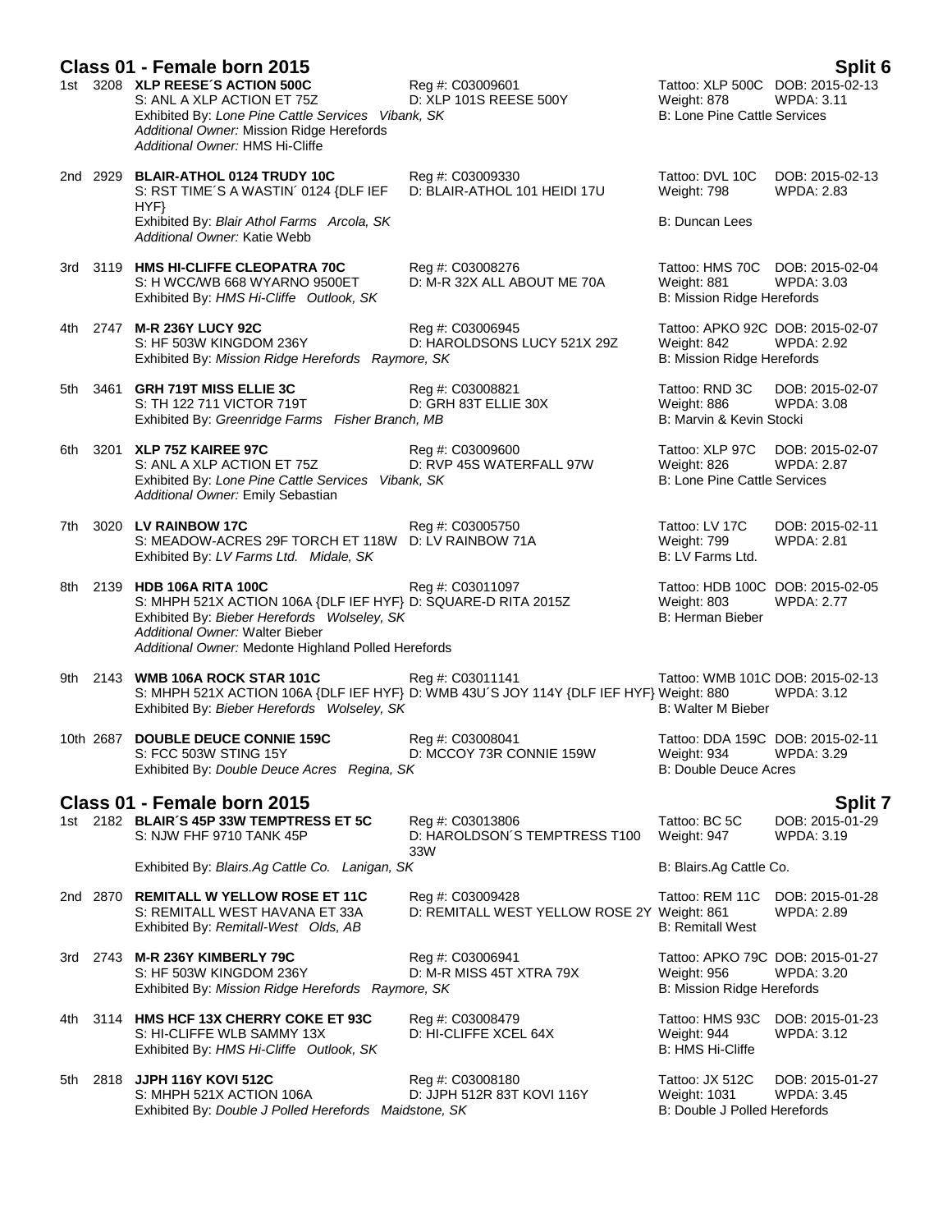|       | Class 01 - Female born 2015                                                                                                                                                                                                       |                                                                 |                                                                                        | Split 6                              |
|-------|-----------------------------------------------------------------------------------------------------------------------------------------------------------------------------------------------------------------------------------|-----------------------------------------------------------------|----------------------------------------------------------------------------------------|--------------------------------------|
|       | 1st 3208 XLP REESE'S ACTION 500C<br>S: ANL A XLP ACTION ET 75Z<br>Exhibited By: Lone Pine Cattle Services Vibank, SK<br>Additional Owner: Mission Ridge Herefords<br>Additional Owner: HMS Hi-Cliffe                              | Reg #: C03009601<br>D: XLP 101S REESE 500Y                      | Tattoo: XLP 500C DOB: 2015-02-13<br>Weight: 878<br><b>B: Lone Pine Cattle Services</b> | <b>WPDA: 3.11</b>                    |
|       | 2nd 2929 BLAIR-ATHOL 0124 TRUDY 10C<br>S: RST TIME'S A WASTIN' 0124 {DLF IEF<br>HYP                                                                                                                                               | Reg #: C03009330<br>D: BLAIR-ATHOL 101 HEIDI 17U                | Tattoo: DVL 10C<br>Weight: 798                                                         | DOB: 2015-02-13<br><b>WPDA: 2.83</b> |
|       | Exhibited By: Blair Athol Farms Arcola, SK<br>Additional Owner: Katie Webb                                                                                                                                                        |                                                                 | B: Duncan Lees                                                                         |                                      |
|       | 3rd 3119 HMS HI-CLIFFE CLEOPATRA 70C<br>S: H WCC/WB 668 WYARNO 9500ET<br>Exhibited By: HMS Hi-Cliffe Outlook, SK                                                                                                                  | Reg #: C03008276<br>D: M-R 32X ALL ABOUT ME 70A                 | Tattoo: HMS 70C DOB: 2015-02-04<br>Weight: 881<br>B: Mission Ridge Herefords           | <b>WPDA: 3.03</b>                    |
| 4th.  | 2747 M-R 236Y LUCY 92C<br>S: HF 503W KINGDOM 236Y<br>Exhibited By: Mission Ridge Herefords Raymore, SK                                                                                                                            | Reg #: C03006945<br>D: HAROLDSONS LUCY 521X 29Z                 | Tattoo: APKO 92C DOB: 2015-02-07<br>Weight: 842<br>B: Mission Ridge Herefords          | <b>WPDA: 2.92</b>                    |
| 5th   | 3461 GRH 719T MISS ELLIE 3C<br>S: TH 122 711 VICTOR 719T<br>Exhibited By: Greenridge Farms Fisher Branch, MB                                                                                                                      | Reg #: C03008821<br>D: GRH 83T ELLIE 30X                        | Tattoo: RND 3C<br>Weight: 886<br>B: Marvin & Kevin Stocki                              | DOB: 2015-02-07<br>WPDA: 3.08        |
| 6th   | 3201 XLP 75Z KAIREE 97C<br>S: ANL A XLP ACTION ET 75Z<br>Exhibited By: Lone Pine Cattle Services Vibank, SK<br>Additional Owner: Emily Sebastian                                                                                  | Reg #: C03009600<br>D: RVP 45S WATERFALL 97W                    | Tattoo: XLP 97C<br>Weight: 826<br><b>B: Lone Pine Cattle Services</b>                  | DOB: 2015-02-07<br><b>WPDA: 2.87</b> |
| 7th   | 3020 LV RAINBOW 17C<br>S: MEADOW-ACRES 29F TORCH ET 118W<br>Exhibited By: LV Farms Ltd. Midale, SK                                                                                                                                | Reg #: C03005750<br>D: LV RAINBOW 71A                           | Tattoo: LV 17C<br>Weight: 799<br>B: LV Farms Ltd.                                      | DOB: 2015-02-11<br><b>WPDA: 2.81</b> |
| 8th l | 2139 HDB 106A RITA 100C<br>S: MHPH 521X ACTION 106A {DLF IEF HYF} D: SQUARE-D RITA 2015Z<br>Exhibited By: Bieber Herefords Wolseley, SK<br>Additional Owner: Walter Bieber<br>Additional Owner: Medonte Highland Polled Herefords | Reg #: C03011097                                                | Tattoo: HDB 100C DOB: 2015-02-05<br>Weight: 803<br><b>B: Herman Bieber</b>             | <b>WPDA: 2.77</b>                    |
| 9th   | 2143 WMB 106A ROCK STAR 101C<br>S: MHPH 521X ACTION 106A {DLF IEF HYF} D: WMB 43U'S JOY 114Y {DLF IEF HYF} Weight: 880<br>Exhibited By: Bieber Herefords Wolseley, SK                                                             | Reg #: C03011141                                                | Tattoo: WMB 101C DOB: 2015-02-13<br>B: Walter M Bieber                                 | <b>WPDA: 3.12</b>                    |
|       | 10th 2687 DOUBLE DEUCE CONNIE 159C<br>S: FCC 503W STING 15Y<br>Exhibited By: Double Deuce Acres Regina, SK                                                                                                                        | Reg #: C03008041<br>D: MCCOY 73R CONNIE 159W                    | Tattoo: DDA 159C DOB: 2015-02-11<br>Weight: 934<br><b>B: Double Deuce Acres</b>        | WPDA: 3.29                           |
|       | Class 01 - Female born 2015                                                                                                                                                                                                       |                                                                 |                                                                                        | Split 7                              |
|       | 1st 2182 BLAIR'S 45P 33W TEMPTRESS ET 5C<br>S: NJW FHF 9710 TANK 45P                                                                                                                                                              | Reg #: C03013806<br>D: HAROLDSON'S TEMPTRESS T100<br>33W        | Tattoo: BC 5C<br>Weight: 947                                                           | DOB: 2015-01-29<br>WPDA: 3.19        |
|       | Exhibited By: Blairs.Ag Cattle Co. Lanigan, SK                                                                                                                                                                                    |                                                                 | B: Blairs.Ag Cattle Co.                                                                |                                      |
|       | 2nd 2870 REMITALL W YELLOW ROSE ET 11C<br>S: REMITALL WEST HAVANA ET 33A<br>Exhibited By: Remitall-West Olds, AB                                                                                                                  | Reg #: C03009428<br>D: REMITALL WEST YELLOW ROSE 2Y Weight: 861 | Tattoo: REM 11C<br><b>B: Remitall West</b>                                             | DOB: 2015-01-28<br><b>WPDA: 2.89</b> |
|       | 3rd 2743 M-R 236Y KIMBERLY 79C<br>S: HF 503W KINGDOM 236Y<br>Exhibited By: Mission Ridge Herefords Raymore, SK                                                                                                                    | Reg #: C03006941<br>D: M-R MISS 45T XTRA 79X                    | Tattoo: APKO 79C DOB: 2015-01-27<br>Weight: 956<br>B: Mission Ridge Herefords          | <b>WPDA: 3.20</b>                    |
| 4th   | 3114 HMS HCF 13X CHERRY COKE ET 93C<br>S: HI-CLIFFE WLB SAMMY 13X<br>Exhibited By: HMS Hi-Cliffe Outlook, SK                                                                                                                      | Reg #: C03008479<br>D: HI-CLIFFE XCEL 64X                       | Tattoo: HMS 93C<br>Weight: 944<br><b>B: HMS Hi-Cliffe</b>                              | DOB: 2015-01-23<br>WPDA: 3.12        |
| 5th   | 2818 JJPH 116Y KOVI 512C<br>S: MHPH 521X ACTION 106A<br>Exhibited By: Double J Polled Herefords Maidstone, SK                                                                                                                     | Reg #: C03008180<br>D: JJPH 512R 83T KOVI 116Y                  | Tattoo: JX 512C<br><b>Weight: 1031</b><br>B: Double J Polled Herefords                 | DOB: 2015-01-27<br><b>WPDA: 3.45</b> |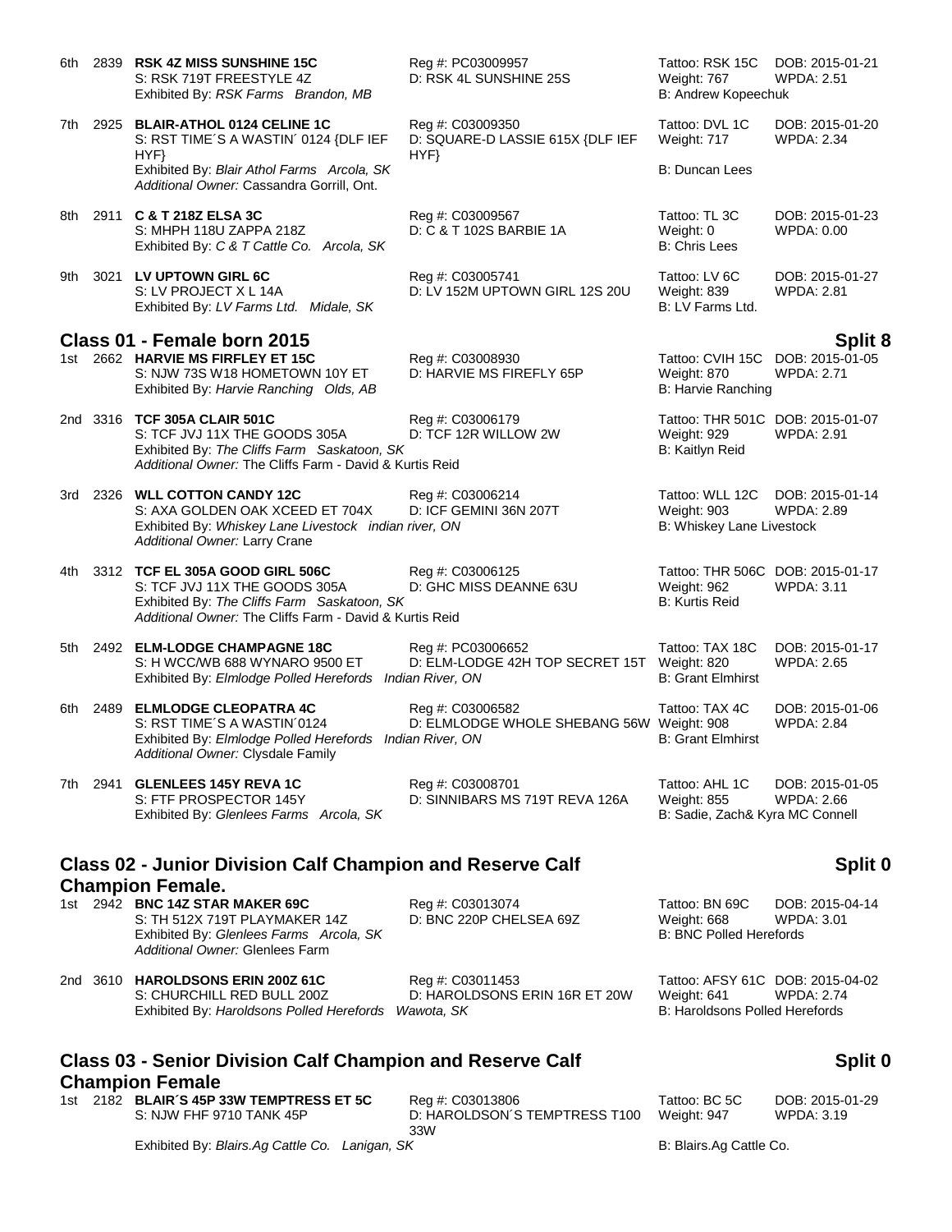| 6th  |      | 2839 RSK 4Z MISS SUNSHINE 15C<br>S: RSK 719T FREESTYLE 4Z<br>Exhibited By: RSK Farms Brandon, MB                                                                           | Reg #: PC03009957<br>D: RSK 4L SUNSHINE 25S                      | Tattoo: RSK 15C<br>Weight: 767<br>B: Andrew Kopeechuk                             | DOB: 2015-01-21<br><b>WPDA: 2.51</b>            |
|------|------|----------------------------------------------------------------------------------------------------------------------------------------------------------------------------|------------------------------------------------------------------|-----------------------------------------------------------------------------------|-------------------------------------------------|
| 7th  |      | 2925 BLAIR-ATHOL 0124 CELINE 1C<br>S: RST TIME'S A WASTIN' 0124 {DLF IEF                                                                                                   | Reg #: C03009350<br>D: SQUARE-D LASSIE 615X {DLF IEF             | Tattoo: DVL 1C<br>Weight: 717                                                     | DOB: 2015-01-20<br><b>WPDA: 2.34</b>            |
|      |      | HYF}<br>Exhibited By: Blair Athol Farms Arcola, SK<br>Additional Owner: Cassandra Gorrill, Ont.                                                                            | HYF}                                                             | B: Duncan Lees                                                                    |                                                 |
|      |      | 8th 2911 C & T 218Z ELSA 3C<br>S: MHPH 118U ZAPPA 218Z<br>Exhibited By: C & T Cattle Co. Arcola, SK                                                                        | Reg #: C03009567<br>D: C & T 102S BARBIE 1A                      | Tattoo: TL 3C<br>Weight: 0<br>B: Chris Lees                                       | DOB: 2015-01-23<br>WPDA: 0.00                   |
| 9th  |      | 3021 LV UPTOWN GIRL 6C<br>S: LV PROJECT X L 14A<br>Exhibited By: LV Farms Ltd. Midale, SK                                                                                  | Reg #: C03005741<br>D: LV 152M UPTOWN GIRL 12S 20U               | Tattoo: LV 6C<br>Weight: 839<br>B: LV Farms Ltd.                                  | DOB: 2015-01-27<br><b>WPDA: 2.81</b>            |
|      |      | Class 01 - Female born 2015                                                                                                                                                |                                                                  |                                                                                   |                                                 |
|      |      | 1st 2662 HARVIE MS FIRFLEY ET 15C<br>S: NJW 73S W18 HOMETOWN 10Y ET<br>Exhibited By: Harvie Ranching Olds, AB                                                              | Reg #: C03008930<br>D: HARVIE MS FIREFLY 65P                     | Tattoo: CVIH 15C<br>Weight: 870<br>B: Harvie Ranching                             | Split 8<br>DOB: 2015-01-05<br><b>WPDA: 2.71</b> |
|      |      | 2nd 3316 TCF 305A CLAIR 501C<br>S: TCF JVJ 11X THE GOODS 305A<br>Exhibited By: The Cliffs Farm Saskatoon, SK<br>Additional Owner: The Cliffs Farm - David & Kurtis Reid    | Reg #: C03006179<br>D: TCF 12R WILLOW 2W                         | Tattoo: THR 501C DOB: 2015-01-07<br><b>Weight: 929</b><br>B: Kaitlyn Reid         | <b>WPDA: 2.91</b>                               |
|      |      | 3rd 2326 WLL COTTON CANDY 12C<br>S: AXA GOLDEN OAK XCEED ET 704X<br>Exhibited By: Whiskey Lane Livestock indian river, ON<br>Additional Owner: Larry Crane                 | Reg #: C03006214<br>D: ICF GEMINI 36N 207T                       | Tattoo: WLL 12C<br>Weight: 903<br>B: Whiskey Lane Livestock                       | DOB: 2015-01-14<br><b>WPDA: 2.89</b>            |
| 4th  |      | 3312 TCF EL 305A GOOD GIRL 506C<br>S: TCF JVJ 11X THE GOODS 305A<br>Exhibited By: The Cliffs Farm Saskatoon, SK<br>Additional Owner: The Cliffs Farm - David & Kurtis Reid | Reg #: C03006125<br>D: GHC MISS DEANNE 63U                       | Tattoo: THR 506C DOB: 2015-01-17<br>Weight: 962<br>B: Kurtis Reid                 | <b>WPDA: 3.11</b>                               |
|      |      | 5th 2492 ELM-LODGE CHAMPAGNE 18C<br>S: H WCC/WB 688 WYNARO 9500 ET<br>Exhibited By: Elmlodge Polled Herefords Indian River, ON                                             | Reg #: PC03006652<br>D: ELM-LODGE 42H TOP SECRET 15T Weight: 820 | Tattoo: TAX 18C<br><b>B: Grant Elmhirst</b>                                       | DOB: 2015-01-17<br><b>WPDA: 2.65</b>            |
| 6th. | 2489 | <b>ELMLODGE CLEOPATRA 4C</b><br>S: RST TIME'S A WASTIN'0124<br>Exhibited By: Elmlodge Polled Herefords Indian River, ON<br>Additional Owner: Clysdale Family               | Reg #: C03006582<br>D: ELMLODGE WHOLE SHEBANG 56W Weight: 908    | Tattoo: TAX 4C<br><b>B: Grant Elmhirst</b>                                        | DOB: 2015-01-06<br><b>WPDA: 2.84</b>            |
|      |      | 7th 2941 GLENLEES 145Y REVA 1C<br>S: FTF PROSPECTOR 145Y<br>Exhibited By: Glenlees Farms Arcola, SK                                                                        | Reg #: C03008701<br>D: SINNIBARS MS 719T REVA 126A               | Tattoo: AHL 1C<br><b>Weight: 855</b><br>B: Sadie, Zach& Kyra MC Connell           | DOB: 2015-01-05<br>WPDA: 2.66                   |
|      |      | <b>Class 02 - Junior Division Calf Champion and Reserve Calf</b>                                                                                                           |                                                                  |                                                                                   | Split 0                                         |
|      |      | <b>Champion Female.</b><br>1st 2942 BNC 14Z STAR MAKER 69C<br>S: TH 512X 719T PLAYMAKER 14Z<br>Exhibited By: Glenlees Farms Arcola, SK<br>Additional Owner: Glenlees Farm  | Reg #: C03013074<br>D: BNC 220P CHELSEA 69Z                      | Tattoo: BN 69C<br>Weight: 668<br><b>B: BNC Polled Herefords</b>                   | DOB: 2015-04-14<br>WPDA: 3.01                   |
|      |      | 2nd 3610 HAROLDSONS ERIN 200Z 61C<br>S: CHURCHILL RED BULL 200Z<br>Exhibited By: Haroldsons Polled Herefords Wawota, SK                                                    | Reg #: C03011453<br>D: HAROLDSONS ERIN 16R ET 20W                | Tattoo: AFSY 61C DOB: 2015-04-02<br>Weight: 641<br>B: Haroldsons Polled Herefords | <b>WPDA: 2.74</b>                               |

## **Class 03 - Senior Division Calf Champion and Reserve Calf Champion Female**

Exhibited By: Haroldsons Polled Herefords Wawota, SK

1st 2182 **BLAIR´S 45P 33W TEMPTRESS ET 5C** Reg #: C03013806 Tattoo: BC 5C DOB: 2015-01-29<br>S: NJW FHF 9710 TANK 45P D: HAROLDSON´S TEMPTRESS T100 Weight: 947 WPDA: 3.19

D: HAROLDSON´S TEMPTRESS T100 33W

Weight: 947

**Split 0**

Exhibited By: *Blairs.Ag Cattle Co. Lanigan, SK* B: Blairs.Ag Cattle Co.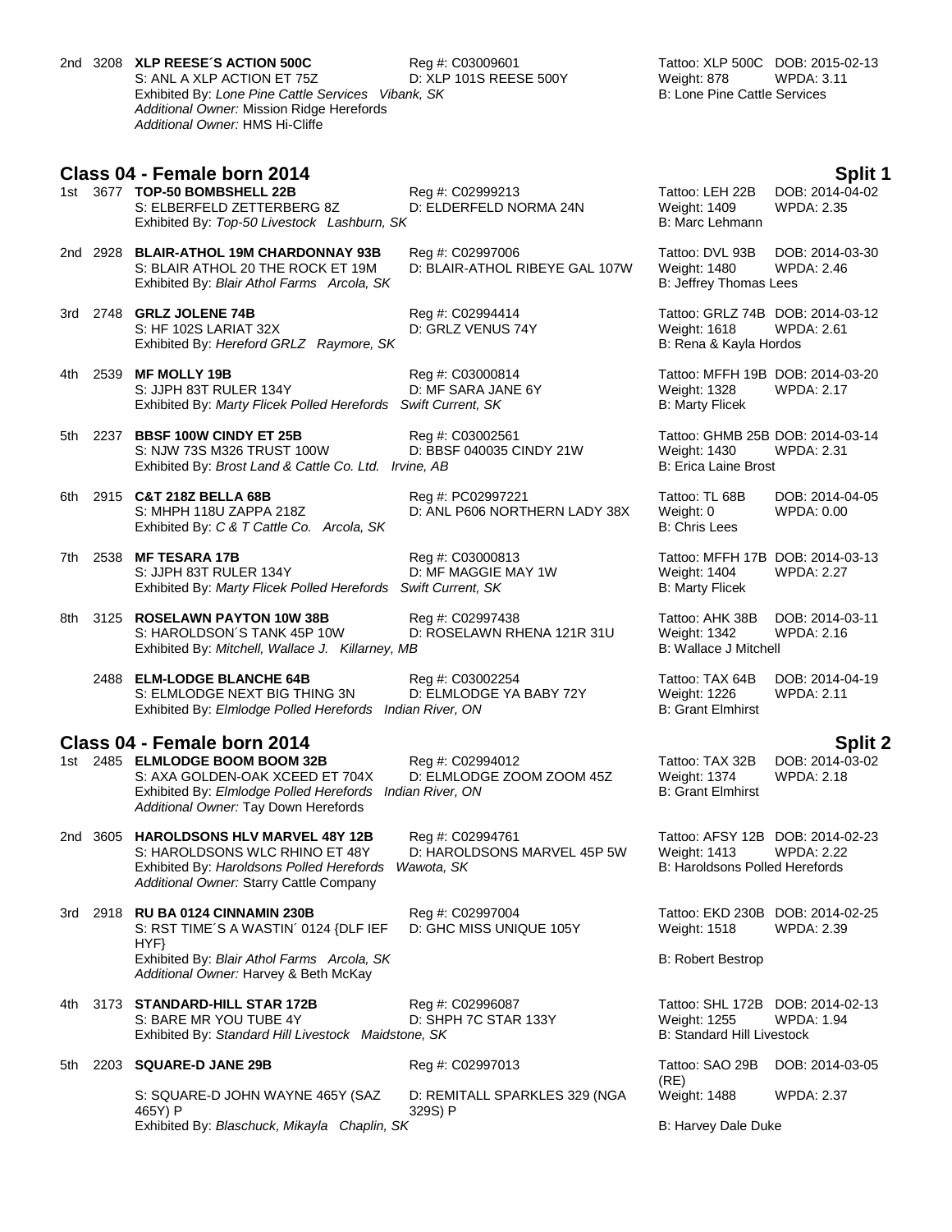2nd 3208 **XLP REESE´S ACTION 500C** Reg #: C03009601 Tattoo: XLP 500C DOB: 2015-02-13 S: ANL A XLP ACTION ET 75Z D: XLP 101S REESE 500Y Weight: 878 WPDA: 3.11 Exhibited By: *Lone Pine Cattle Services Vibank, SK* B: Lone Pine Cattle Services *Additional Owner:* Mission Ridge Herefords *Additional Owner:* HMS Hi-Cliffe

### **Class 04 - Female born 2014 Split 1**

- 1st 3677 **TOP-50 BOMBSHELL 22B** Reg #: C02999213 Tattoo: LEH 22B DOB: 2014-04-02<br>S: ELBERFELD ZETTERBERG 8Z D: ELDERFELD NORMA 24N Weight: 1409 WPDA: 2.35 S: ELBERFELD ZETTERBERG 8Z D: ELDERFELD NORMA 24N Weight: 1409 Exhibited By: Top-50 Livestock Lashburn, SK B: Marc Lehmann
- 2nd 2928 **BLAIR-ATHOL 19M CHARDONNAY 93B** Reg #: C02997006 Tattoo: DVL 93B DOB: 2014-03-30 Exhibited By: *Blair Athol Farms Arcola, SK*
- 3rd 2748 **GRLZ JOLENE 74B** Reg #: C02994414 Tattoo: GRLZ 74B DOB: 2014-03-12 S: HF 102S LARIAT 32X D: GRLZ VENUS 74Y Weight: 1618 WPDA: 2.61 Exhibited By: *Hereford GRLZ Raymore, SK* B: Rena & Kayla Hordos
- 4th 2539 **MF MOLLY 19B** Reg #: C03000814 Tattoo: MFFH 19B DOB: 2014-03-20 S: JJPH 83T RULER 134Y D: MF SARA JANE 6Y Weight: 1328 WPDA: 2.17 Exhibited By: *Marty Flicek Polled Herefords Swift Current, SK* B: Marty Flicek
- 5th 2237 **BBSF 100W CINDY ET 25B** Req #: C03002561 Tattoo: GHMB 25B DOB: 2014-03-14 S: NJW 73S M326 TRUST 100W D: BBSF 040035 CINDY 21W Weight: 1430 WPDA: 2.31<br>Exhibited By: *Brost Land & Cattle Co. Ltd. Irvine. AB* B: Erica Laine Brost B: Erica Laine Brost Exhibited By: *Brost Land & Cattle Co. Ltd. Irvine, AB*
- 6th 2915 **C&T 218Z BELLA 68B** Reg #: PC02997221 Tattoo: TL 68B DOB: 2014-04-05 Exhibited By: *C & T Cattle Co. Arcola, SK* B: Chris Lees
- 7th 2538 **MF TESARA 17B** Reg #: C03000813 Tattoo: MFFH 17B DOB: 2014-03-13 S: JJPH 83T RULER 134Y D: MF MAGGIE MAY 1W Weight: 1404 WPDA: 2.27 Exhibited By: Marty Flicek Polled Herefords Swift Current, SK B: Marty Flicek

8th 3125 **ROSELAWN PAYTON 10W 38B** Reg #: C02997438 Tattoo: AHK 38B DOB: 2014-03-11 S: HAROLDSON´S TANK 45P 10W D: ROSELAWN RHENA 121R 31U Weight: 1342 WPDA: 2.16 Exhibited By: *Mitchell, Wallace J. Killarney, MB* B: Wallace J Mitchell

2488 **ELM-LODGE BLANCHE 64B** Reg #: C03002254 Tattoo: TAX 64B DOB: 2014-04-19<br>S: ELMLODGE NEXT BIG THING 3N D: ELMLODGE YA BABY 72Y Weight: 1226 WPDA: 2.11 S: ELMLODGE NEXT BIG THING 3N D: ELMLODGE YA BABY 72Y Weight: 1226<br>Exhibited By: Elmlodge Polled Herefords Indian River, ON B: Grant Elmhirst Exhibited By: Elmlodge Polled Herefords Indian River, ON

- **Class 04 - Female born 2014 Split 2** 1st 2485 **ELMLODGE BOOM BOOM 32B** S: AXA GOLDEN-OAK XCEED ET 704X D: ELMLODGE ZOOM ZOOM 45Z Weight: 1374 WPDA: 2.18 Exhibited By: *Elmlodge Polled Herefords Indian River, ON* B: Grant Elmhirst *Additional Owner:* Tay Down Herefords
- 2nd 3605 **HAROLDSONS HLV MARVEL 48Y 12B** Reg #: C02994761 Tattoo: AFSY 12B DOB: 2014-02-23 S: HAROLDSONS WLC RHINO ET 48Y D: HAROLDSONS MARVEL 45P 5W Weight: 1413 WPDA: 2.22 Exhibited By: *Haroldsons Polled Herefords Wawota, SK* B: Haroldsons Polled Herefords *Additional Owner:* Starry Cattle Company
- 3rd 2918 **RU BA 0124 CINNAMIN 230B** Reg #: C02997004 Tattoo: EKD 230B DOB: 2014-02-25 S: RST TIME´S A WASTIN´ 0124 {DLF IEF HYF} Exhibited By: *Blair Athol Farms Arcola, SK* B: Robert Bestrop B: Robert Bestrop *Additional Owner:* Harvey & Beth McKay
- 4th 3173 **STANDARD-HILL STAR 172B** Reg #: C02996087 Tattoo: SHL 172B DOB: 2014-02-13<br>S: BARE MR YOU TUBE 4Y D: SHPH 7C STAR 133Y Weight: 1255 WPDA: 1.94 S: BARE MR YOU TUBE 4Y D: SHPH 7C STAR 133Y Weight: 1255 WPD/<br>Exhibited By: Standard Hill Livestock Maidstone, SK B: Standard Hill Livestock Exhibited By: Standard Hill Livestock Maidstone, SK

5th 2203 **SQUARE-D JANE 29B** Reg #: C02997013

S: SQUARE-D JOHN WAYNE 465Y (SAZ 465Y) P Exhibited By: *Blaschuck, Mikayla Chaplin, SK* B: Harvey Dale Duke

D: REMITALL SPARKLES 329 (NGA 329S) P

D: BLAIR-ATHOL RIBEYE GAL 107W Weight: 1480 WPI<br>B: Jeffrey Thomas Lees

D: ANL P606 NORTHERN LADY 38X Weight: 0

D: GHC MISS UNIQUE 105Y Weight: 1518 WPDA: 2.39

(RE) Tattoo: SAO 29B DOB: 2014-03-05 Weight: 1488 WPDA: 2.37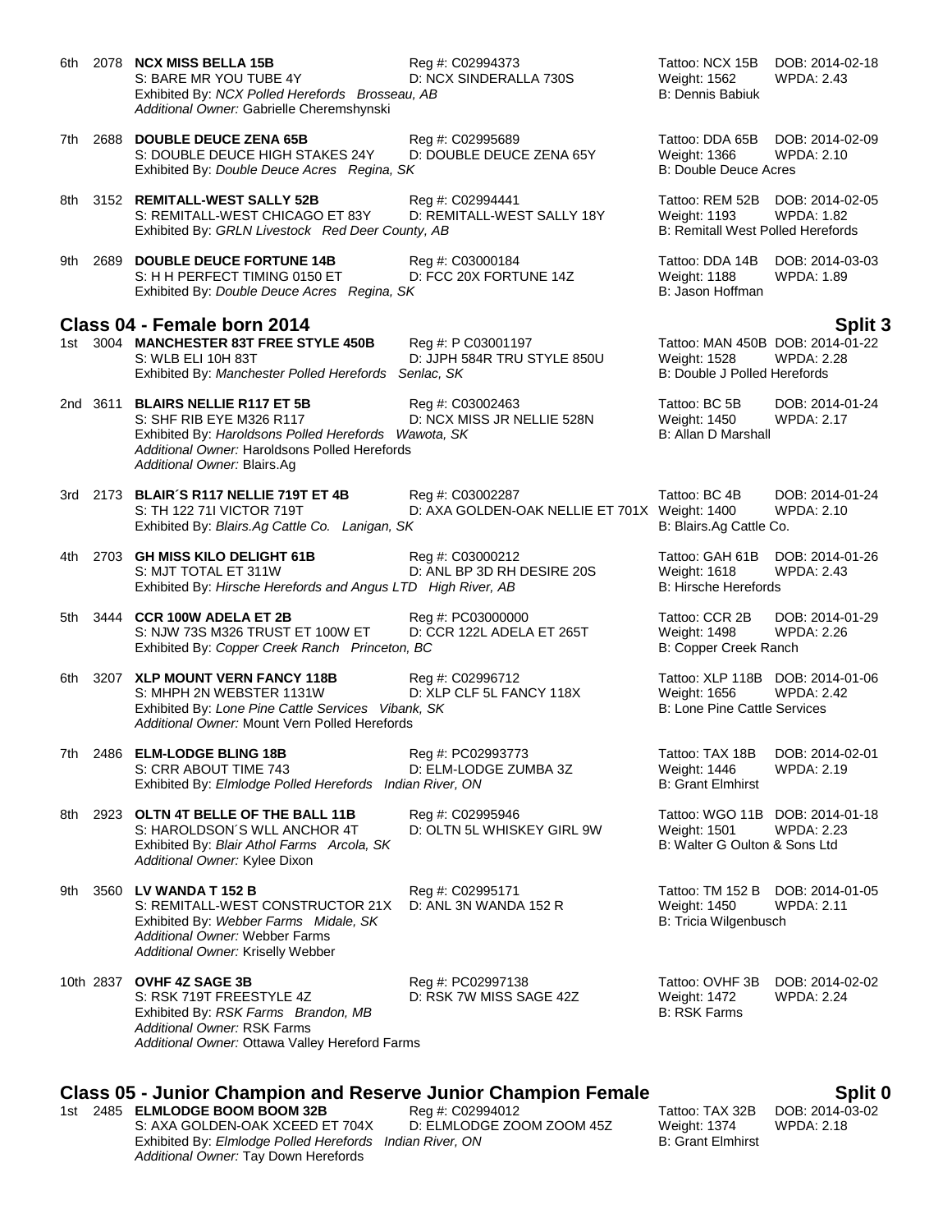| 6th. |      | 2078 NCX MISS BELLA 15B<br>S: BARE MR YOU TUBE 4Y<br>Exhibited By: NCX Polled Herefords Brosseau, AB<br>Additional Owner: Gabrielle Cheremshynski                                                     | Reg #: C02994373<br>D: NCX SINDERALLA 730S                        | Tattoo: NCX 15B<br>Weight: 1562<br><b>B: Dennis Babiuk</b>                                         | DOB: 2014-02-18<br><b>WPDA: 2.43</b> |
|------|------|-------------------------------------------------------------------------------------------------------------------------------------------------------------------------------------------------------|-------------------------------------------------------------------|----------------------------------------------------------------------------------------------------|--------------------------------------|
| 7th  |      | 2688 DOUBLE DEUCE ZENA 65B<br>S: DOUBLE DEUCE HIGH STAKES 24Y<br>Exhibited By: Double Deuce Acres Regina, SK                                                                                          | Reg #: C02995689<br>D: DOUBLE DEUCE ZENA 65Y                      | Tattoo: DDA 65B<br>Weight: 1366<br><b>B: Double Deuce Acres</b>                                    | DOB: 2014-02-09<br><b>WPDA: 2.10</b> |
| 8th  |      | 3152 REMITALL-WEST SALLY 52B<br>S: REMITALL-WEST CHICAGO ET 83Y<br>Exhibited By: GRLN Livestock Red Deer County, AB                                                                                   | Reg #: C02994441<br>D: REMITALL-WEST SALLY 18Y                    | Tattoo: REM 52B DOB: 2014-02-05<br><b>Weight: 1193</b><br><b>B: Remitall West Polled Herefords</b> | <b>WPDA: 1.82</b>                    |
| 9th  | 2689 | <b>DOUBLE DEUCE FORTUNE 14B</b><br>S: H H PERFECT TIMING 0150 ET<br>Exhibited By: Double Deuce Acres Regina, SK                                                                                       | Reg #: C03000184<br>D: FCC 20X FORTUNE 14Z                        | Tattoo: DDA 14B<br>Weight: 1188<br>B: Jason Hoffman                                                | DOB: 2014-03-03<br><b>WPDA: 1.89</b> |
|      |      | Class 04 - Female born 2014                                                                                                                                                                           |                                                                   |                                                                                                    | Split 3                              |
|      |      | 1st 3004 MANCHESTER 83T FREE STYLE 450B<br>S: WLB ELI 10H 83T<br>Exhibited By: Manchester Polled Herefords Senlac, SK                                                                                 | Reg #: P C03001197<br>D: JJPH 584R TRU STYLE 850U                 | Tattoo: MAN 450B DOB: 2014-01-22<br>Weight: 1528<br>B: Double J Polled Herefords                   | <b>WPDA: 2.28</b>                    |
|      |      | 2nd 3611 BLAIRS NELLIE R117 ET 5B<br>S: SHF RIB EYE M326 R117<br>Exhibited By: Haroldsons Polled Herefords Wawota, SK<br>Additional Owner: Haroldsons Polled Herefords<br>Additional Owner: Blairs.Ag | Reg #: C03002463<br>D: NCX MISS JR NELLIE 528N                    | Tattoo: BC 5B<br><b>Weight: 1450</b><br>B: Allan D Marshall                                        | DOB: 2014-01-24<br><b>WPDA: 2.17</b> |
|      |      | 3rd 2173 BLAIR'S R117 NELLIE 719T ET 4B<br>S: TH 122 711 VICTOR 719T<br>Exhibited By: Blairs.Ag Cattle Co. Lanigan, SK                                                                                | Reg #: C03002287<br>D: AXA GOLDEN-OAK NELLIE ET 701X Weight: 1400 | Tattoo: BC 4B<br>B: Blairs.Ag Cattle Co.                                                           | DOB: 2014-01-24<br><b>WPDA: 2.10</b> |
| 4th. |      | 2703 GH MISS KILO DELIGHT 61B<br>S: MJT TOTAL ET 311W<br>Exhibited By: Hirsche Herefords and Angus LTD High River, AB                                                                                 | Reg #: C03000212<br>D: ANL BP 3D RH DESIRE 20S                    | Tattoo: GAH 61B<br>Weight: 1618<br><b>B: Hirsche Herefords</b>                                     | DOB: 2014-01-26<br><b>WPDA: 2.43</b> |
| 5th  | 3444 | <b>CCR 100W ADELA ET 2B</b><br>S: NJW 73S M326 TRUST ET 100W ET<br>Exhibited By: Copper Creek Ranch Princeton, BC                                                                                     | Reg #: PC03000000<br>D: CCR 122L ADELA ET 265T                    | Tattoo: CCR 2B<br>Weight: 1498<br>B: Copper Creek Ranch                                            | DOB: 2014-01-29<br><b>WPDA: 2.26</b> |
| 6th  |      | 3207 XLP MOUNT VERN FANCY 118B<br>S: MHPH 2N WEBSTER 1131W<br>Exhibited By: Lone Pine Cattle Services Vibank, SK<br>Additional Owner: Mount Vern Polled Herefords                                     | Reg #: C02996712<br>D: XLP CLF 5L FANCY 118X                      | Tattoo: XLP 118B DOB: 2014-01-06<br>Weight: 1656<br><b>B: Lone Pine Cattle Services</b>            | <b>WPDA: 2.42</b>                    |
| 7th  |      | 2486 ELM-LODGE BLING 18B<br>S: CRR ABOUT TIME 743<br>Exhibited By: Elmlodge Polled Herefords Indian River, ON                                                                                         | Reg #: PC02993773<br>D: ELM-LODGE ZUMBA 3Z                        | Tattoo: TAX 18B<br>Weight: 1446<br><b>B: Grant Elmhirst</b>                                        | DOB: 2014-02-01<br>WPDA: 2.19        |
| 8th  |      | 2923 OLTN 4T BELLE OF THE BALL 11B<br>S: HAROLDSON'S WLL ANCHOR 4T<br>Exhibited By: Blair Athol Farms Arcola, SK<br>Additional Owner: Kylee Dixon                                                     | Reg #: C02995946<br>D: OLTN 5L WHISKEY GIRL 9W                    | Tattoo: WGO 11B DOB: 2014-01-18<br>Weight: 1501<br>B: Walter G Oulton & Sons Ltd                   | <b>WPDA: 2.23</b>                    |
| 9th  |      | 3560 LV WANDA T 152 B<br>S: REMITALL-WEST CONSTRUCTOR 21X<br>Exhibited By: Webber Farms Midale, SK<br>Additional Owner: Webber Farms<br>Additional Owner: Kriselly Webber                             | Reg #: C02995171<br>D: ANL 3N WANDA 152 R                         | Tattoo: TM 152 B<br><b>Weight: 1450</b><br>B: Tricia Wilgenbusch                                   | DOB: 2014-01-05<br><b>WPDA: 2.11</b> |
|      |      | 10th 2837 OVHF 4Z SAGE 3B<br>S: RSK 719T FREESTYLE 4Z<br>Exhibited By: RSK Farms Brandon, MB<br>Additional Owner: RSK Farms<br>Additional Owner: Ottawa Valley Hereford Farms                         | Reg #: PC02997138<br>D: RSK 7W MISS SAGE 42Z                      | Tattoo: OVHF 3B<br>Weight: 1472<br><b>B: RSK Farms</b>                                             | DOB: 2014-02-02<br><b>WPDA: 2.24</b> |

# **Class 05 - Junior Champion and Reserve Junior Champion Female**<br>1st 2485 **ELMLODGE BOOM BOOM 32B** Reg #: C02994012 Tattoo: TAX 32B DOB: 2014-03-02

1st 2485 **ELMLODGE BOOM BOOM 32B** Reg #: C02994012 Tattoo: TAX 32B DOB: 2014-0<br>S: AXA GOLDEN-OAK XCEED ET 704X D: ELMLODGE ZOOM ZOOM 45Z Weight: 1374 WPDA: 2.18 S: AXA GOLDEN-OAK XCEED ET 704X D: ELMLODGE ZOOM ZOOM 45Z Weight: 1374<br>Exhibited By: Elmlodge Polled Herefords Indian River, ON B: Grant Elmhirst Exhibited By: *Elmlodge Polled Herefords Indian River, ON Additional Owner:* Tay Down Herefords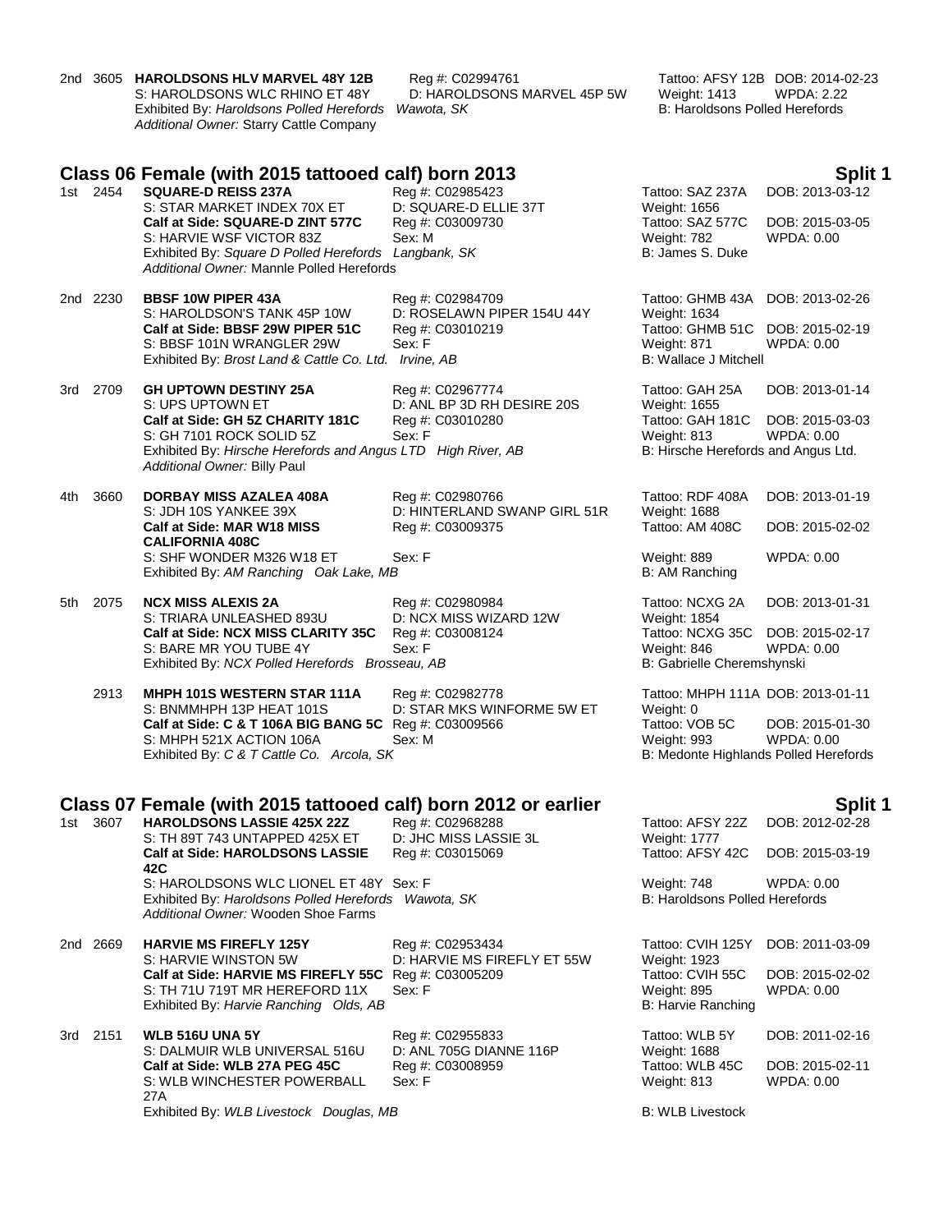|       |          | 2nd 3605 HAROLDSONS HLV MARVEL 48Y 12B<br>S: HAROLDSONS WLC RHINO ET 48Y<br>Exhibited By: Haroldsons Polled Herefords<br>Additional Owner: Starry Cattle Company | Reg #: C02994761<br>D: HAROLDSONS MARVEL 45P 5W<br>Wawota, SK | <b>Weight: 1413</b><br>B: Haroldsons Polled Herefords | Tattoo: AFSY 12B DOB: 2014-02-23<br><b>WPDA: 2.22</b> |
|-------|----------|------------------------------------------------------------------------------------------------------------------------------------------------------------------|---------------------------------------------------------------|-------------------------------------------------------|-------------------------------------------------------|
|       |          | Class 06 Female (with 2015 tattooed calf) born 2013                                                                                                              |                                                               |                                                       | Split 1                                               |
|       | 1st 2454 | <b>SQUARE-D REISS 237A</b>                                                                                                                                       | Reg #: C02985423                                              | Tattoo: SAZ 237A                                      | DOB: 2013-03-12                                       |
|       |          | S: STAR MARKET INDEX 70X ET                                                                                                                                      | D: SQUARE-D ELLIE 37T                                         | Weight: 1656                                          |                                                       |
|       |          | Calf at Side: SQUARE-D ZINT 577C<br>S: HARVIE WSF VICTOR 83Z                                                                                                     | Reg #: C03009730<br>Sex: M                                    | Tattoo: SAZ 577C<br>Weight: 782                       | DOB: 2015-03-05<br>WPDA: 0.00                         |
|       |          | Exhibited By: Square D Polled Herefords Langbank, SK                                                                                                             |                                                               | B: James S. Duke                                      |                                                       |
|       |          | Additional Owner: Mannle Polled Herefords                                                                                                                        |                                                               |                                                       |                                                       |
|       | 2nd 2230 | <b>BBSF 10W PIPER 43A</b>                                                                                                                                        | Reg #: C02984709                                              | Tattoo: GHMB 43A                                      | DOB: 2013-02-26                                       |
|       |          | S: HAROLDSON'S TANK 45P 10W                                                                                                                                      | D: ROSELAWN PIPER 154U 44Y                                    | Weight: 1634                                          |                                                       |
|       |          | Calf at Side: BBSF 29W PIPER 51C<br>S: BBSF 101N WRANGLER 29W                                                                                                    | Reg #: C03010219<br>Sex: F                                    | Tattoo: GHMB 51C<br>Weight: 871                       | DOB: 2015-02-19<br>WPDA: 0.00                         |
|       |          | Exhibited By: Brost Land & Cattle Co. Ltd. Irvine, AB                                                                                                            |                                                               | <b>B: Wallace J Mitchell</b>                          |                                                       |
|       |          |                                                                                                                                                                  |                                                               |                                                       |                                                       |
|       | 3rd 2709 | <b>GH UPTOWN DESTINY 25A</b><br>S: UPS UPTOWN ET                                                                                                                 | Reg #: C02967774<br>D: ANL BP 3D RH DESIRE 20S                | Tattoo: GAH 25A<br>Weight: 1655                       | DOB: 2013-01-14                                       |
|       |          | Calf at Side: GH 5Z CHARITY 181C                                                                                                                                 | Reg #: C03010280                                              | Tattoo: GAH 181C                                      | DOB: 2015-03-03                                       |
|       |          | S: GH 7101 ROCK SOLID 5Z<br>Exhibited By: Hirsche Herefords and Angus LTD High River, AB                                                                         | Sex: F                                                        | Weight: 813                                           | WPDA: 0.00                                            |
|       |          | Additional Owner: Billy Paul                                                                                                                                     |                                                               | B: Hirsche Herefords and Angus Ltd.                   |                                                       |
|       |          | <b>DORBAY MISS AZALEA 408A</b>                                                                                                                                   |                                                               | Tattoo: RDF 408A                                      |                                                       |
| 4th.  | 3660     | S: JDH 10S YANKEE 39X                                                                                                                                            | Reg #: C02980766<br>D: HINTERLAND SWANP GIRL 51R              | Weight: 1688                                          | DOB: 2013-01-19                                       |
|       |          | Calf at Side: MAR W18 MISS                                                                                                                                       | Reg #: C03009375                                              | Tattoo: AM 408C                                       | DOB: 2015-02-02                                       |
|       |          | <b>CALIFORNIA 408C</b><br>S: SHF WONDER M326 W18 ET                                                                                                              | Sex: F                                                        | Weight: 889                                           | WPDA: 0.00                                            |
|       |          | Exhibited By: AM Ranching Oak Lake, MB                                                                                                                           |                                                               | B: AM Ranching                                        |                                                       |
| 5th - | 2075     | <b>NCX MISS ALEXIS 2A</b>                                                                                                                                        | Reg #: C02980984                                              | Tattoo: NCXG 2A                                       | DOB: 2013-01-31                                       |
|       |          | S: TRIARA UNLEASHED 893U                                                                                                                                         | D: NCX MISS WIZARD 12W                                        | Weight: 1854                                          |                                                       |
|       |          | Calf at Side: NCX MISS CLARITY 35C                                                                                                                               | Reg #: C03008124<br>Sex: F                                    | Tattoo: NCXG 35C                                      | DOB: 2015-02-17                                       |
|       |          | S: BARE MR YOU TUBE 4Y<br>Exhibited By: NCX Polled Herefords Brosseau, AB                                                                                        |                                                               | Weight: 846<br>B: Gabrielle Cheremshynski             | WPDA: 0.00                                            |
|       |          |                                                                                                                                                                  |                                                               |                                                       |                                                       |
|       | 2913     | MHPH 101S WESTERN STAR 111A<br>S: BNMMHPH 13P HEAT 101S                                                                                                          | Reg #: C02982778<br>D: STAR MKS WINFORME 5W ET                | Tattoo: MHPH 111A DOB: 2013-01-11<br>Weight: 0        |                                                       |
|       |          | Calf at Side: C & T 106A BIG BANG 5C Reg #: C03009566                                                                                                            |                                                               | Tattoo: VOB 5C                                        | DOB: 2015-01-30                                       |
|       |          | S: MHPH 521X ACTION 106A<br>Exhibited By: C & T Cattle Co. Arcola, SK                                                                                            | Sex: M                                                        | Weight: 993<br>B: Medonte Highlands Polled Herefords  | WPDA: 0.00                                            |
|       |          |                                                                                                                                                                  |                                                               |                                                       |                                                       |
|       |          |                                                                                                                                                                  |                                                               |                                                       |                                                       |
|       | 1st 3607 | Class 07 Female (with 2015 tattooed calf) born 2012 or earlier<br><b>HAROLDSONS LASSIE 425X 22Z</b>                                                              | Reg #: C02968288                                              | Tattoo: AFSY 22Z                                      | <b>Split 1</b><br>DOB: 2012-02-28                     |
|       |          | S: TH 89T 743 UNTAPPED 425X ET                                                                                                                                   | D: JHC MISS LASSIE 3L                                         | <b>Weight: 1777</b>                                   |                                                       |
|       |          | <b>Calf at Side: HAROLDSONS LASSIE</b><br>42C                                                                                                                    | Reg #: C03015069                                              | Tattoo: AFSY 42C                                      | DOB: 2015-03-19                                       |
|       |          | S: HAROLDSONS WLC LIONEL ET 48Y Sex: F                                                                                                                           |                                                               | Weight: 748                                           | WPDA: 0.00                                            |
|       |          | Exhibited By: Haroldsons Polled Herefords Wawota, SK                                                                                                             |                                                               | B: Haroldsons Polled Herefords                        |                                                       |
|       |          | Additional Owner: Wooden Shoe Farms                                                                                                                              |                                                               |                                                       |                                                       |
|       | 2nd 2669 | <b>HARVIE MS FIREFLY 125Y</b>                                                                                                                                    | Reg #: C02953434                                              | Tattoo: CVIH 125Y                                     | DOB: 2011-03-09                                       |
|       |          | S: HARVIE WINSTON 5W                                                                                                                                             | D: HARVIE MS FIREFLY ET 55W                                   | Weight: 1923<br>Tattoo: CVIH 55C                      |                                                       |
|       |          | Calf at Side: HARVIE MS FIREFLY 55C Reg #: C03005209<br>S: TH 71U 719T MR HEREFORD 11X                                                                           | Sex: F                                                        | <b>Weight: 895</b>                                    | DOB: 2015-02-02<br>WPDA: 0.00                         |
|       |          | Exhibited By: Harvie Ranching Olds, AB                                                                                                                           |                                                               | <b>B: Harvie Ranching</b>                             |                                                       |
| 3rd - | 2151     | <b>WLB 516U UNA 5Y</b>                                                                                                                                           | Reg #: C02955833                                              | Tattoo: WLB 5Y                                        | DOB: 2011-02-16                                       |
|       |          | S: DALMUIR WLB UNIVERSAL 516U                                                                                                                                    | D: ANL 705G DIANNE 116P                                       | Weight: 1688                                          |                                                       |
|       |          | Calf at Side: WLB 27A PEG 45C                                                                                                                                    | Reg #: C03008959                                              | Tattoo: WLB 45C                                       | DOB: 2015-02-11                                       |
|       |          | S: WLB WINCHESTER POWERBALL<br>27A                                                                                                                               | Sex: F                                                        | Weight: 813                                           | WPDA: 0.00                                            |
|       |          | Exhibited By: WLB Livestock Douglas, MB                                                                                                                          |                                                               | <b>B: WLB Livestock</b>                               |                                                       |
|       |          |                                                                                                                                                                  |                                                               |                                                       |                                                       |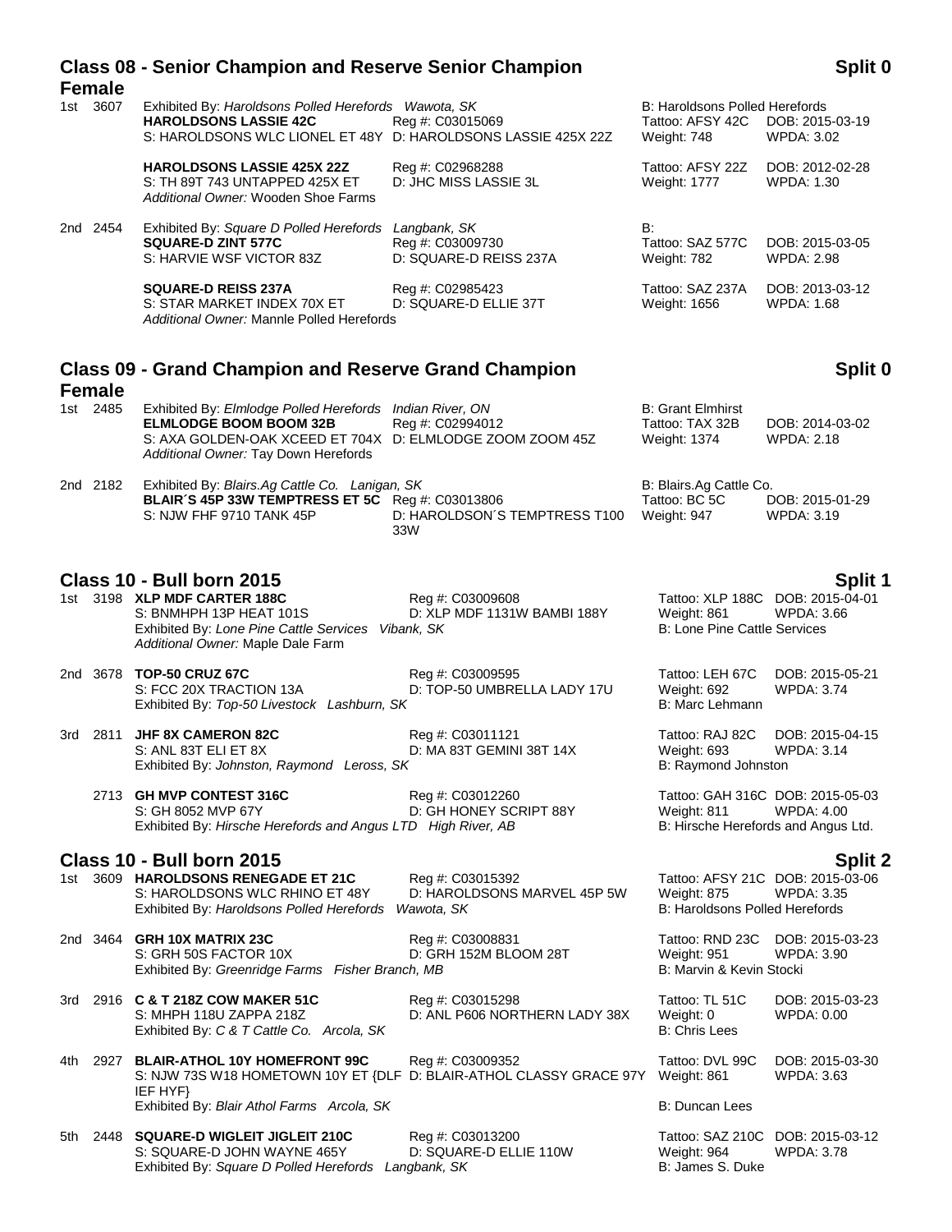|       | <b>Female</b> | <b>Class 08 - Senior Champion and Reserve Senior Champion</b>                                                                                                                                  |                                                               |                                                                   | Split 0                                                                               |
|-------|---------------|------------------------------------------------------------------------------------------------------------------------------------------------------------------------------------------------|---------------------------------------------------------------|-------------------------------------------------------------------|---------------------------------------------------------------------------------------|
|       | 1st 3607      | Exhibited By: Haroldsons Polled Herefords Wawota, SK<br><b>HAROLDSONS LASSIE 42C</b><br>S: HAROLDSONS WLC LIONEL ET 48Y D: HAROLDSONS LASSIE 425X 22Z                                          | Reg #: C03015069                                              | B: Haroldsons Polled Herefords<br>Tattoo: AFSY 42C<br>Weight: 748 | DOB: 2015-03-19<br>WPDA: 3.02                                                         |
|       |               | <b>HAROLDSONS LASSIE 425X 22Z</b><br>S: TH 89T 743 UNTAPPED 425X ET<br>Additional Owner: Wooden Shoe Farms                                                                                     | Reg #: C02968288<br>D: JHC MISS LASSIE 3L                     | Tattoo: AFSY 22Z<br>Weight: 1777                                  | DOB: 2012-02-28<br>WPDA: 1.30                                                         |
|       | 2nd 2454      | Exhibited By: Square D Polled Herefords<br><b>SQUARE-D ZINT 577C</b><br>S: HARVIE WSF VICTOR 83Z                                                                                               | Langbank, SK<br>Reg #: C03009730<br>D: SQUARE-D REISS 237A    | B:<br>Tattoo: SAZ 577C<br>Weight: 782                             | DOB: 2015-03-05<br><b>WPDA: 2.98</b>                                                  |
|       |               | <b>SQUARE-D REISS 237A</b><br>S: STAR MARKET INDEX 70X ET<br>Additional Owner: Mannle Polled Herefords                                                                                         | Reg #: C02985423<br>D: SQUARE-D ELLIE 37T                     | Tattoo: SAZ 237A<br>Weight: 1656                                  | DOB: 2013-03-12<br><b>WPDA: 1.68</b>                                                  |
|       | <b>Female</b> | <b>Class 09 - Grand Champion and Reserve Grand Champion</b>                                                                                                                                    |                                                               |                                                                   | Split 0                                                                               |
|       | 1st 2485      | Exhibited By: Elmlodge Polled Herefords Indian River, ON<br><b>ELMLODGE BOOM BOOM 32B</b><br>S: AXA GOLDEN-OAK XCEED ET 704X D: ELMLODGE ZOOM ZOOM 45Z<br>Additional Owner: Tay Down Herefords | Reg #: C02994012                                              | <b>B: Grant Elmhirst</b><br>Tattoo: TAX 32B<br>Weight: 1374       | DOB: 2014-03-02<br>WPDA: 2.18                                                         |
|       | 2nd 2182      | Exhibited By: Blairs.Ag Cattle Co. Lanigan, SK<br>BLAIR'S 45P 33W TEMPTRESS ET 5C Reg #: C03013806<br>S: NJW FHF 9710 TANK 45P                                                                 | D: HAROLDSON'S TEMPTRESS T100<br>33W                          | B: Blairs.Ag Cattle Co.<br>Tattoo: BC 5C<br>Weight: 947           | DOB: 2015-01-29<br>WPDA: 3.19                                                         |
|       |               | <b>Class 10 - Bull born 2015</b>                                                                                                                                                               |                                                               |                                                                   | Split 1                                                                               |
|       |               | 1st 3198 XLP MDF CARTER 188C<br>S: BNMHPH 13P HEAT 101S<br>Exhibited By: Lone Pine Cattle Services Vibank, SK<br>Additional Owner: Maple Dale Farm                                             | Reg #: C03009608<br>D: XLP MDF 1131W BAMBI 188Y               | Weight: 861<br><b>B: Lone Pine Cattle Services</b>                | Tattoo: XLP 188C DOB: 2015-04-01<br>WPDA: 3.66                                        |
|       | 2nd 3678      | <b>TOP-50 CRUZ 67C</b><br>S: FCC 20X TRACTION 13A<br>Exhibited By: Top-50 Livestock Lashburn, SK                                                                                               | Reg #: C03009595<br>D: TOP-50 UMBRELLA LADY 17U               | Tattoo: LEH 67C<br>Weight: 692<br>B: Marc Lehmann                 | DOB: 2015-05-21<br><b>WPDA: 3.74</b>                                                  |
|       |               | 3rd 2811 JHF 8X CAMERON 82C<br>S: ANL 83T ELI ET 8X<br>Exhibited By: Johnston, Raymond Leross, SK                                                                                              | Reg #: C03011121<br>D: MA 83T GEMINI 38T 14X                  | Tattoo: RAJ 82C<br>Weight: 693<br>B: Raymond Johnston             | DOB: 2015-04-15<br><b>WPDA: 3.14</b>                                                  |
|       |               | 2713 GH MVP CONTEST 316C<br>S: GH 8052 MVP 67Y<br>Exhibited By: Hirsche Herefords and Angus LTD High River, AB                                                                                 | Reg #: C03012260<br>D: GH HONEY SCRIPT 88Y                    | Weight: 811                                                       | Tattoo: GAH 316C DOB: 2015-05-03<br>WPDA: 4.00<br>B: Hirsche Herefords and Angus Ltd. |
|       |               | Class 10 - Bull born 2015                                                                                                                                                                      |                                                               |                                                                   | Split 2                                                                               |
|       |               | 1st 3609 HAROLDSONS RENEGADE ET 21C<br>S: HAROLDSONS WLC RHINO ET 48Y<br>Exhibited By: Haroldsons Polled Herefords                                                                             | Reg #: C03015392<br>D: HAROLDSONS MARVEL 45P 5W<br>Wawota, SK | Weight: 875<br>B: Haroldsons Polled Herefords                     | Tattoo: AFSY 21C DOB: 2015-03-06<br><b>WPDA: 3.35</b>                                 |
|       |               | 2nd 3464 GRH 10X MATRIX 23C<br>S: GRH 50S FACTOR 10X<br>Exhibited By: Greenridge Farms Fisher Branch, MB                                                                                       | Reg #: C03008831<br>D: GRH 152M BLOOM 28T                     | Weight: 951<br>B: Marvin & Kevin Stocki                           | Tattoo: RND 23C DOB: 2015-03-23<br>WPDA: 3.90                                         |
|       |               | 3rd 2916 C & T 218Z COW MAKER 51C<br>S: MHPH 118U ZAPPA 218Z<br>Exhibited By: C & T Cattle Co. Arcola, SK                                                                                      | Reg #: C03015298<br>D: ANL P606 NORTHERN LADY 38X             | Tattoo: TL 51C<br>Weight: 0<br><b>B: Chris Lees</b>               | DOB: 2015-03-23<br>WPDA: 0.00                                                         |
| 4th - |               | 2927 BLAIR-ATHOL 10Y HOMEFRONT 99C<br>S: NJW 73S W18 HOMETOWN 10Y ET {DLF D: BLAIR-ATHOL CLASSY GRACE 97Y<br>IEF HYF}                                                                          | Reg #: C03009352                                              | Tattoo: DVL 99C<br>Weight: 861                                    | DOB: 2015-03-30<br><b>WPDA: 3.63</b>                                                  |
|       |               | Exhibited By: Blair Athol Farms Arcola, SK                                                                                                                                                     |                                                               | B: Duncan Lees                                                    |                                                                                       |
|       |               | 5th 2448 SQUARE-D WIGLEIT JIGLEIT 210C<br>S: SQUARE-D JOHN WAYNE 465Y<br>Exhibited By: Square D Polled Herefords Langbank, SK                                                                  | Reg #: C03013200<br>D: SQUARE-D ELLIE 110W                    | Weight: 964<br>B: James S. Duke                                   | Tattoo: SAZ 210C DOB: 2015-03-12<br><b>WPDA: 3.78</b>                                 |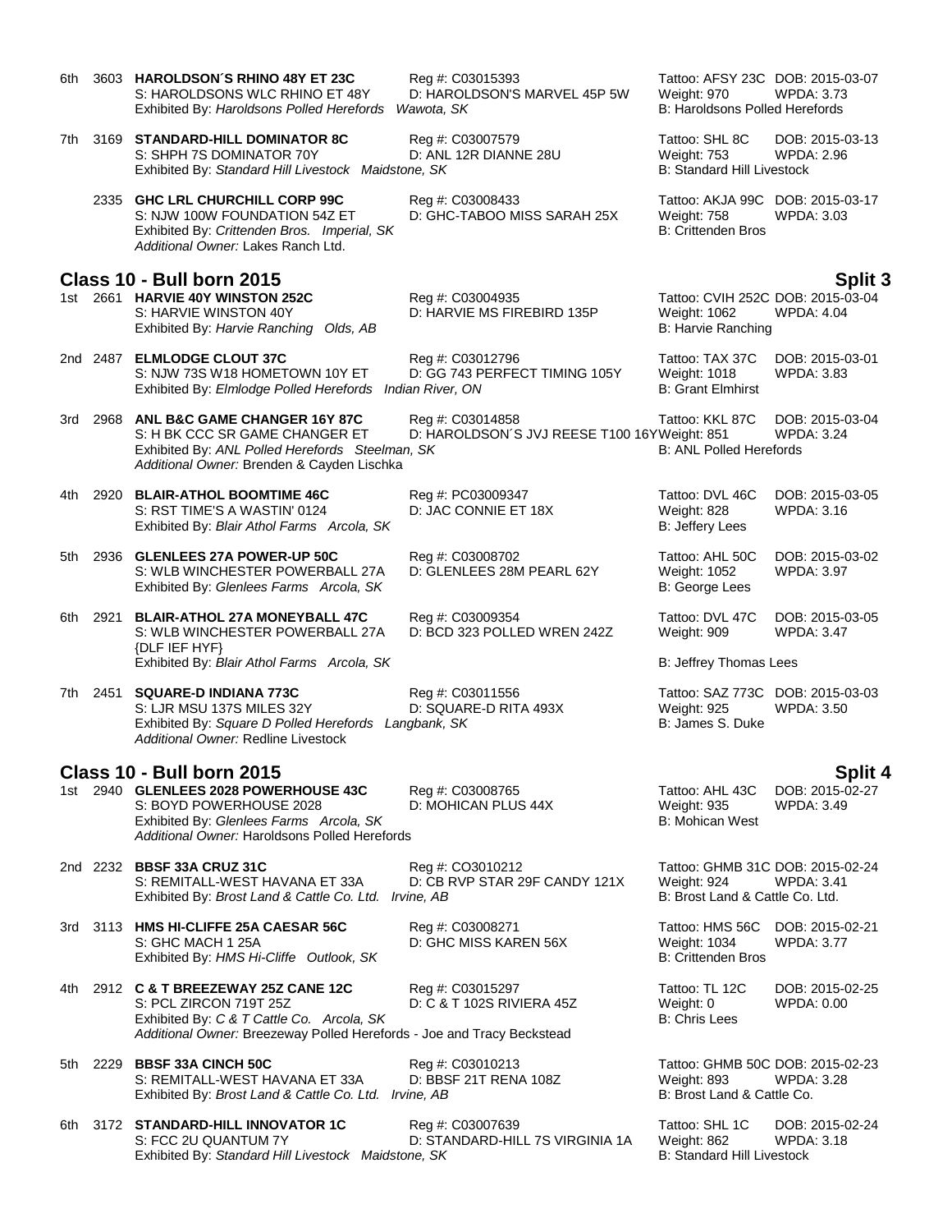| 6th  |          | 3603 HAROLDSON'S RHINO 48Y ET 23C<br>S: HAROLDSONS WLC RHINO ET 48Y<br>Exhibited By: Haroldsons Polled Herefords                                                                                  | Reg #: C03015393<br>D: HAROLDSON'S MARVEL 45P 5W<br>Wawota, SK   | Tattoo: AFSY 23C DOB: 2015-03-07<br>Weight: 970<br><b>B: Haroldsons Polled Herefords</b> | <b>WPDA: 3.73</b>                    |
|------|----------|---------------------------------------------------------------------------------------------------------------------------------------------------------------------------------------------------|------------------------------------------------------------------|------------------------------------------------------------------------------------------|--------------------------------------|
| 7th. |          | 3169 STANDARD-HILL DOMINATOR 8C<br>S: SHPH 7S DOMINATOR 70Y<br>Exhibited By: Standard Hill Livestock Maidstone, SK                                                                                | Reg #: C03007579<br>D: ANL 12R DIANNE 28U                        | Tattoo: SHL 8C<br><b>Weight: 753</b><br><b>B: Standard Hill Livestock</b>                | DOB: 2015-03-13<br>WPDA: 2.96        |
|      |          | 2335 GHC LRL CHURCHILL CORP 99C<br>S: NJW 100W FOUNDATION 54Z ET<br>Exhibited By: Crittenden Bros. Imperial, SK<br>Additional Owner: Lakes Ranch Ltd.                                             | Reg #: C03008433<br>D: GHC-TABOO MISS SARAH 25X                  | Tattoo: AKJA 99C DOB: 2015-03-17<br>Weight: 758<br><b>B: Crittenden Bros</b>             | WPDA: 3.03                           |
|      |          | Class 10 - Bull born 2015                                                                                                                                                                         |                                                                  |                                                                                          | <b>Split 3</b>                       |
|      |          | 1st 2661 HARVIE 40Y WINSTON 252C<br>S: HARVIE WINSTON 40Y<br>Exhibited By: Harvie Ranching Olds, AB                                                                                               | Reg #: C03004935<br>D: HARVIE MS FIREBIRD 135P                   | Tattoo: CVIH 252C DOB: 2015-03-04<br>Weight: 1062<br>B: Harvie Ranching                  | <b>WPDA: 4.04</b>                    |
|      | 2nd 2487 | <b>ELMLODGE CLOUT 37C</b><br>S: NJW 73S W18 HOMETOWN 10Y ET<br>Exhibited By: Elmlodge Polled Herefords Indian River, ON                                                                           | Reg #: C03012796<br>D: GG 743 PERFECT TIMING 105Y                | Tattoo: TAX 37C<br>Weight: 1018<br><b>B: Grant Elmhirst</b>                              | DOB: 2015-03-01<br>WPDA: 3.83        |
| 3rd  |          | 2968 ANL B&C GAME CHANGER 16Y 87C<br>S: H BK CCC SR GAME CHANGER ET<br>Exhibited By: ANL Polled Herefords Steelman, SK<br>Additional Owner: Brenden & Cayden Lischka                              | Reg #: C03014858<br>D: HAROLDSON'S JVJ REESE T100 16YWeight: 851 | Tattoo: KKL 87C<br><b>B: ANL Polled Herefords</b>                                        | DOB: 2015-03-04<br><b>WPDA: 3.24</b> |
| 4th. | 2920     | <b>BLAIR-ATHOL BOOMTIME 46C</b><br>S: RST TIME'S A WASTIN' 0124<br>Exhibited By: Blair Athol Farms Arcola, SK                                                                                     | Reg #: PC03009347<br>D: JAC CONNIE ET 18X                        | Tattoo: DVL 46C<br>Weight: 828<br>B: Jeffery Lees                                        | DOB: 2015-03-05<br><b>WPDA: 3.16</b> |
| 5th  | 2936     | <b>GLENLEES 27A POWER-UP 50C</b><br>S: WLB WINCHESTER POWERBALL 27A<br>Exhibited By: Glenlees Farms Arcola, SK                                                                                    | Reg #: C03008702<br>D: GLENLEES 28M PEARL 62Y                    | Tattoo: AHL 50C<br>Weight: 1052<br>B: George Lees                                        | DOB: 2015-03-02<br><b>WPDA: 3.97</b> |
| 6th  | 2921     | <b>BLAIR-ATHOL 27A MONEYBALL 47C</b><br>S: WLB WINCHESTER POWERBALL 27A<br>{DLF IEF HYF}                                                                                                          | Reg #: C03009354<br>D: BCD 323 POLLED WREN 242Z                  | Tattoo: DVL 47C<br>Weight: 909                                                           | DOB: 2015-03-05<br><b>WPDA: 3.47</b> |
|      |          | Exhibited By: Blair Athol Farms Arcola, SK                                                                                                                                                        |                                                                  | B: Jeffrey Thomas Lees                                                                   |                                      |
| 7th  | 2451     | <b>SQUARE-D INDIANA 773C</b><br>S: LJR MSU 137S MILES 32Y<br>Exhibited By: Square D Polled Herefords Langbank, SK<br>Additional Owner: Redline Livestock                                          | Reg #: C03011556<br>D: SQUARE-D RITA 493X                        | Tattoo: SAZ 773C DOB: 2015-03-03<br><b>Weight: 925</b><br>B: James S. Duke               | WPDA: 3.50                           |
|      |          | <b>Class 10 - Bull born 2015</b>                                                                                                                                                                  |                                                                  |                                                                                          | <b>Split 4</b>                       |
|      |          | 1st 2940 GLENLEES 2028 POWERHOUSE 43C<br>S: BOYD POWERHOUSE 2028<br>Exhibited By: Glenlees Farms Arcola, SK<br>Additional Owner: Haroldsons Polled Herefords                                      | Reg #: C03008765<br>D: MOHICAN PLUS 44X                          | Tattoo: AHL 43C<br><b>Weight: 935</b><br>B: Mohican West                                 | DOB: 2015-02-27<br><b>WPDA: 3.49</b> |
|      |          | 2nd 2232 BBSF 33A CRUZ 31C<br>S: REMITALL-WEST HAVANA ET 33A<br>Exhibited By: Brost Land & Cattle Co. Ltd. Irvine, AB                                                                             | Reg #: CO3010212<br>D: CB RVP STAR 29F CANDY 121X                | Tattoo: GHMB 31C DOB: 2015-02-24<br>Weight: 924<br>B: Brost Land & Cattle Co. Ltd.       | <b>WPDA: 3.41</b>                    |
|      |          | 3rd 3113 HMS HI-CLIFFE 25A CAESAR 56C<br>S: GHC MACH 1 25A<br>Exhibited By: HMS Hi-Cliffe Outlook, SK                                                                                             | Reg #: C03008271<br>D: GHC MISS KAREN 56X                        | Tattoo: HMS 56C<br>Weight: 1034<br><b>B: Crittenden Bros</b>                             | DOB: 2015-02-21<br><b>WPDA: 3.77</b> |
|      |          | 4th 2912 <b>C &amp; T BREEZEWAY 25Z CANE 12C</b><br>S: PCL ZIRCON 719T 25Z<br>Exhibited By: C & T Cattle Co. Arcola, SK<br>Additional Owner: Breezeway Polled Herefords - Joe and Tracy Beckstead | Reg #: C03015297<br>D: C & T 102S RIVIERA 45Z                    | Tattoo: TL 12C<br>Weight: 0<br><b>B: Chris Lees</b>                                      | DOB: 2015-02-25<br><b>WPDA: 0.00</b> |
|      |          | 5th 2229 BBSF 33A CINCH 50C<br>S: REMITALL-WEST HAVANA ET 33A<br>Exhibited By: Brost Land & Cattle Co. Ltd. Irvine, AB                                                                            | Reg #: C03010213<br>D: BBSF 21T RENA 108Z                        | Tattoo: GHMB 50C DOB: 2015-02-23<br>Weight: 893<br>B: Brost Land & Cattle Co.            | <b>WPDA: 3.28</b>                    |
|      |          | 6th 3172 STANDARD-HILL INNOVATOR 1C<br>S: FCC 2U QUANTUM 7Y<br>Exhibited By: Standard Hill Livestock Maidstone, SK                                                                                | Reg #: C03007639<br>D: STANDARD-HILL 7S VIRGINIA 1A              | Tattoo: SHL 1C<br>Weight: 862<br>B: Standard Hill Livestock                              | DOB: 2015-02-24<br><b>WPDA: 3.18</b> |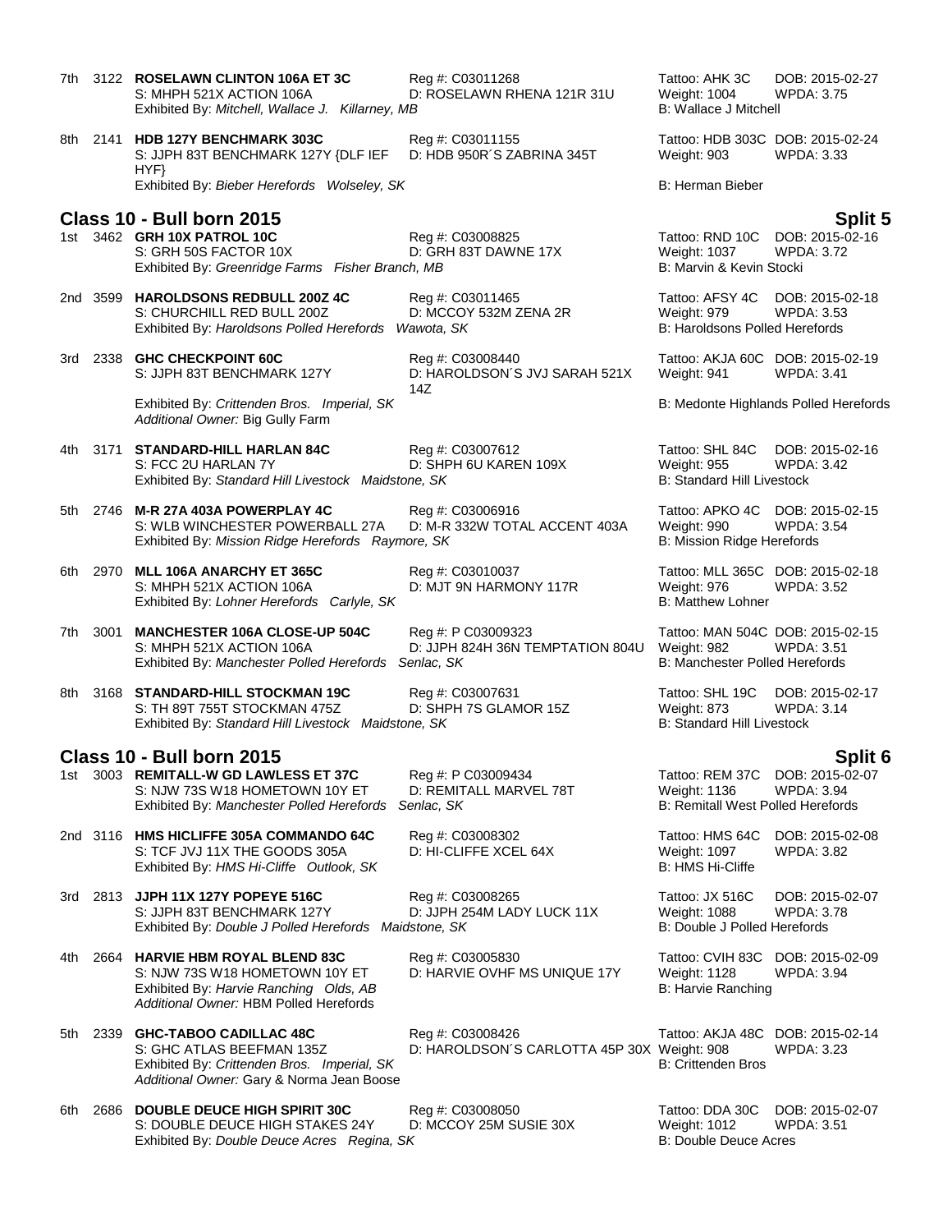| 7th  |      | 3122 ROSELAWN CLINTON 106A ET 3C<br>S: MHPH 521X ACTION 106A<br>Exhibited By: Mitchell, Wallace J. Killarney, MB                                      | Reg #: C03011268<br>D: ROSELAWN RHENA 121R 31U                  | Tattoo: AHK 3C<br>Weight: 1004<br>B: Wallace J Mitchell                           | DOB: 2015-02-27<br><b>WPDA: 3.75</b>            |
|------|------|-------------------------------------------------------------------------------------------------------------------------------------------------------|-----------------------------------------------------------------|-----------------------------------------------------------------------------------|-------------------------------------------------|
|      |      | 8th 2141 HDB 127Y BENCHMARK 303C<br>S: JJPH 83T BENCHMARK 127Y {DLF IEF<br>HYP                                                                        | Reg #: C03011155<br>D: HDB 950R'S ZABRINA 345T                  | Tattoo: HDB 303C DOB: 2015-02-24<br>Weight: 903                                   | <b>WPDA: 3.33</b>                               |
|      |      | Exhibited By: Bieber Herefords Wolseley, SK                                                                                                           |                                                                 | B: Herman Bieber                                                                  |                                                 |
|      |      | Class 10 - Bull born 2015<br>1st 3462 GRH 10X PATROL 10C<br>S: GRH 50S FACTOR 10X<br>Exhibited By: Greenridge Farms Fisher Branch, MB                 | Reg #: C03008825<br>D: GRH 83T DAWNE 17X                        | Tattoo: RND 10C<br><b>Weight: 1037</b><br>B: Marvin & Kevin Stocki                | Split 5<br>DOB: 2015-02-16<br><b>WPDA: 3.72</b> |
|      |      | 2nd 3599 HAROLDSONS REDBULL 200Z 4C<br>S: CHURCHILL RED BULL 200Z<br>Exhibited By: Haroldsons Polled Herefords Wawota, SK                             | Reg #: C03011465<br>D: MCCOY 532M ZENA 2R                       | Tattoo: AFSY 4C<br>Weight: 979<br><b>B: Haroldsons Polled Herefords</b>           | DOB: 2015-02-18<br><b>WPDA: 3.53</b>            |
| 3rd  |      | 2338 GHC CHECKPOINT 60C<br>S: JJPH 83T BENCHMARK 127Y                                                                                                 | Reg #: C03008440<br>D: HAROLDSON'S JVJ SARAH 521X<br>14Z        | Tattoo: AKJA 60C DOB: 2015-02-19<br>Weight: 941                                   | <b>WPDA: 3.41</b>                               |
|      |      | Exhibited By: Crittenden Bros. Imperial, SK<br>Additional Owner: Big Gully Farm                                                                       |                                                                 |                                                                                   | B: Medonte Highlands Polled Herefords           |
| 4th  |      | 3171 STANDARD-HILL HARLAN 84C<br>S: FCC 2U HARLAN 7Y<br>Exhibited By: Standard Hill Livestock Maidstone, SK                                           | Reg #: C03007612<br>D: SHPH 6U KAREN 109X                       | Tattoo: SHL 84C<br><b>Weight: 955</b><br><b>B: Standard Hill Livestock</b>        | DOB: 2015-02-16<br><b>WPDA: 3.42</b>            |
|      |      | 5th 2746 M-R 27A 403A POWERPLAY 4C<br>S: WLB WINCHESTER POWERBALL 27A<br>Exhibited By: Mission Ridge Herefords Raymore, SK                            | Reg #: C03006916<br>D: M-R 332W TOTAL ACCENT 403A               | Tattoo: APKO 4C<br>Weight: 990<br>B: Mission Ridge Herefords                      | DOB: 2015-02-15<br><b>WPDA: 3.54</b>            |
| 6th. |      | 2970 MLL 106A ANARCHY ET 365C<br>S: MHPH 521X ACTION 106A<br>Exhibited By: Lohner Herefords Carlyle, SK                                               | Reg #: C03010037<br>D: MJT 9N HARMONY 117R                      | Tattoo: MLL 365C DOB: 2015-02-18<br>Weight: 976<br><b>B: Matthew Lohner</b>       | <b>WPDA: 3.52</b>                               |
| 7th  | 3001 | <b>MANCHESTER 106A CLOSE-UP 504C</b><br>S: MHPH 521X ACTION 106A<br>Exhibited By: Manchester Polled Herefords Senlac, SK                              | Reg #: P C03009323<br>D: JJPH 824H 36N TEMPTATION 804U          | Tattoo: MAN 504C DOB: 2015-02-15<br>Weight: 982<br>B: Manchester Polled Herefords | <b>WPDA: 3.51</b>                               |
| 8th  |      | 3168 STANDARD-HILL STOCKMAN 19C<br>S: TH 89T 755T STOCKMAN 475Z<br>Exhibited By: Standard Hill Livestock Maidstone, SK                                | Reg #: C03007631<br>D: SHPH 7S GLAMOR 15Z                       | Tattoo: SHL 19C<br>Weight: 873<br><b>B: Standard Hill Livestock</b>               | DOB: 2015-02-17<br><b>WPDA: 3.14</b>            |
|      |      | <b>Class 10 - Bull born 2015</b>                                                                                                                      |                                                                 |                                                                                   | Split 6                                         |
| 1st  |      | 3003 REMITALL-W GD LAWLESS ET 37C<br>S: NJW 73S W18 HOMETOWN 10Y ET<br>Exhibited By: Manchester Polled Herefords                                      | Reg #: P C03009434<br>D: REMITALL MARVEL 78T<br>Senlac, SK      | Tattoo: REM 37C<br>Weight: 1136<br>B: Remitall West Polled Herefords              | DOB: 2015-02-07<br>WPDA: 3.94                   |
|      |      | 2nd 3116 HMS HICLIFFE 305A COMMANDO 64C<br>S: TCF JVJ 11X THE GOODS 305A<br>Exhibited By: HMS Hi-Cliffe Outlook, SK                                   | Reg #: C03008302<br>D: HI-CLIFFE XCEL 64X                       | Tattoo: HMS 64C<br>Weight: 1097<br><b>B: HMS Hi-Cliffe</b>                        | DOB: 2015-02-08<br><b>WPDA: 3.82</b>            |
|      |      | 3rd 2813 JJPH 11X 127Y POPEYE 516C<br>S: JJPH 83T BENCHMARK 127Y<br>Exhibited By: Double J Polled Herefords Maidstone, SK                             | Reg #: C03008265<br>D: JJPH 254M LADY LUCK 11X                  | Tattoo: JX 516C<br><b>Weight: 1088</b><br>B: Double J Polled Herefords            | DOB: 2015-02-07<br><b>WPDA: 3.78</b>            |
| 4th  |      | 2664 HARVIE HBM ROYAL BLEND 83C<br>S: NJW 73S W18 HOMETOWN 10Y ET<br>Exhibited By: Harvie Ranching Olds, AB<br>Additional Owner: HBM Polled Herefords | Reg #: C03005830<br>D: HARVIE OVHF MS UNIQUE 17Y                | Tattoo: CVIH 83C<br>Weight: 1128<br>B: Harvie Ranching                            | DOB: 2015-02-09<br><b>WPDA: 3.94</b>            |
| 5th  |      | 2339 GHC-TABOO CADILLAC 48C<br>S: GHC ATLAS BEEFMAN 135Z<br>Exhibited By: Crittenden Bros. Imperial, SK<br>Additional Owner: Gary & Norma Jean Boose  | Reg #: C03008426<br>D: HAROLDSON'S CARLOTTA 45P 30X Weight: 908 | Tattoo: AKJA 48C DOB: 2015-02-14<br><b>B: Crittenden Bros</b>                     | <b>WPDA: 3.23</b>                               |
| 6th. | 2686 | <b>DOUBLE DEUCE HIGH SPIRIT 30C</b><br>S: DOUBLE DEUCE HIGH STAKES 24Y<br>Exhibited By: Double Deuce Acres Regina, SK                                 | Reg #: C03008050<br>D: MCCOY 25M SUSIE 30X                      | Tattoo: DDA 30C<br><b>Weight: 1012</b><br><b>B: Double Deuce Acres</b>            | DOB: 2015-02-07<br><b>WPDA: 3.51</b>            |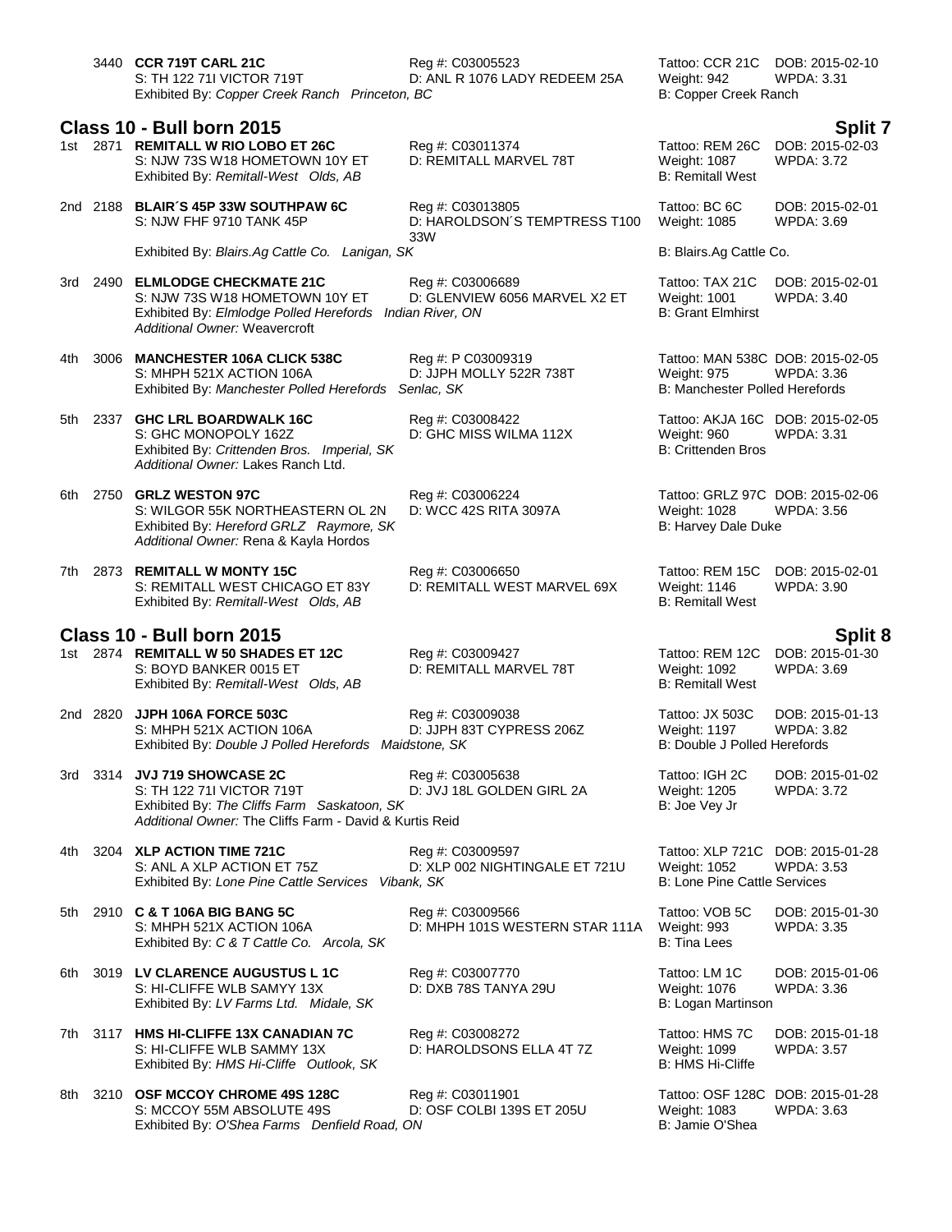|       |          | 3440 CCR 719T CARL 21C<br>S: TH 122 711 VICTOR 719T<br>Exhibited By: Copper Creek Ranch Princeton, BC                                                                 | Reg #: C03005523<br>D: ANL R 1076 LADY REDEEM 25A           | Tattoo: CCR 21C<br>Weight: 942<br>B: Copper Creek Ranch                                  | DOB: 2015-02-10<br><b>WPDA: 3.31</b>            |
|-------|----------|-----------------------------------------------------------------------------------------------------------------------------------------------------------------------|-------------------------------------------------------------|------------------------------------------------------------------------------------------|-------------------------------------------------|
|       |          |                                                                                                                                                                       |                                                             |                                                                                          |                                                 |
|       |          | <b>Class 10 - Bull born 2015</b><br>1st 2871 REMITALL W RIO LOBO ET 26C<br>S: NJW 73S W18 HOMETOWN 10Y ET<br>Exhibited By: Remitall-West Olds, AB                     | Reg #: C03011374<br>D: REMITALL MARVEL 78T                  | Tattoo: REM 26C<br>Weight: 1087<br><b>B: Remitall West</b>                               | Split 7<br>DOB: 2015-02-03<br><b>WPDA: 3.72</b> |
|       |          | 2nd 2188 BLAIR'S 45P 33W SOUTHPAW 6C<br>S: NJW FHF 9710 TANK 45P                                                                                                      | Reg #: C03013805<br>D: HAROLDSON'S TEMPTRESS T100<br>33W    | Tattoo: BC 6C<br>Weight: 1085                                                            | DOB: 2015-02-01<br><b>WPDA: 3.69</b>            |
|       |          | Exhibited By: Blairs.Ag Cattle Co. Lanigan, SK                                                                                                                        |                                                             | B: Blairs.Ag Cattle Co.                                                                  |                                                 |
|       |          | 3rd 2490 ELMLODGE CHECKMATE 21C<br>S: NJW 73S W18 HOMETOWN 10Y ET<br>Exhibited By: Elmlodge Polled Herefords Indian River, ON<br><b>Additional Owner: Weavercroft</b> | Reg #: C03006689<br>D: GLENVIEW 6056 MARVEL X2 ET           | Tattoo: TAX 21C<br><b>Weight: 1001</b><br><b>B: Grant Elmhirst</b>                       | DOB: 2015-02-01<br>WPDA: 3.40                   |
| 4th - | 3006     | <b>MANCHESTER 106A CLICK 538C</b><br>S: MHPH 521X ACTION 106A<br>Exhibited By: Manchester Polled Herefords                                                            | Reg #: P C03009319<br>D: JJPH MOLLY 522R 738T<br>Senlac, SK | Tattoo: MAN 538C DOB: 2015-02-05<br><b>Weight: 975</b><br>B: Manchester Polled Herefords | <b>WPDA: 3.36</b>                               |
|       |          | 5th 2337 GHC LRL BOARDWALK 16C<br>S: GHC MONOPOLY 162Z<br>Exhibited By: Crittenden Bros. Imperial, SK<br>Additional Owner: Lakes Ranch Ltd.                           | Reg #: C03008422<br>D: GHC MISS WILMA 112X                  | Tattoo: AKJA 16C DOB: 2015-02-05<br>Weight: 960<br><b>B: Crittenden Bros</b>             | <b>WPDA: 3.31</b>                               |
|       |          | 6th 2750 GRLZ WESTON 97C<br>S: WILGOR 55K NORTHEASTERN OL 2N<br>Exhibited By: Hereford GRLZ Raymore, SK<br>Additional Owner: Rena & Kayla Hordos                      | Reg #: C03006224<br>D: WCC 42S RITA 3097A                   | Tattoo: GRLZ 97C DOB: 2015-02-06<br>Weight: 1028<br>B: Harvey Dale Duke                  | <b>WPDA: 3.56</b>                               |
|       |          | 7th 2873 REMITALL W MONTY 15C<br>S: REMITALL WEST CHICAGO ET 83Y<br>Exhibited By: Remitall-West Olds, AB                                                              | Reg #: C03006650<br>D: REMITALL WEST MARVEL 69X             | Tattoo: REM 15C<br>Weight: 1146<br><b>B: Remitall West</b>                               | DOB: 2015-02-01<br><b>WPDA: 3.90</b>            |
|       |          |                                                                                                                                                                       |                                                             |                                                                                          |                                                 |
|       |          | Class 10 - Bull born 2015<br>1st 2874 REMITALL W 50 SHADES ET 12C<br>S: BOYD BANKER 0015 ET                                                                           | Reg #: C03009427<br>D: REMITALL MARVEL 78T                  | Tattoo: REM 12C<br>Weight: 1092                                                          | Split 8<br>DOB: 2015-01-30<br>WPDA: 3.69        |
|       |          | Exhibited By: Remitall-West Olds, AB                                                                                                                                  |                                                             | <b>B: Remitall West</b>                                                                  |                                                 |
|       | 2nd 2820 | JJPH 106A FORCE 503C<br>S: MHPH 521X ACTION 106A<br>Exhibited By: Double J Polled Herefords Maidstone, SK                                                             | Reg #: C03009038<br>D: JJPH 83T CYPRESS 206Z                | Tattoo: JX 503C<br><b>Weight: 1197</b><br>B: Double J Polled Herefords                   | DOB: 2015-01-13<br><b>WPDA: 3.82</b>            |
|       |          | 3rd 3314 JVJ 719 SHOWCASE 2C<br>S: TH 122 711 VICTOR 719T<br>Exhibited By: The Cliffs Farm Saskatoon, SK<br>Additional Owner: The Cliffs Farm - David & Kurtis Reid   | Reg #: C03005638<br>D: JVJ 18L GOLDEN GIRL 2A               | Tattoo: IGH 2C<br><b>Weight: 1205</b><br>B: Joe Vey Jr                                   | DOB: 2015-01-02<br><b>WPDA: 3.72</b>            |
| 4th.  |          | 3204 XLP ACTION TIME 721C<br>S: ANL A XLP ACTION ET 75Z<br>Exhibited By: Lone Pine Cattle Services Vibank, SK                                                         | Reg #: C03009597<br>D: XLP 002 NIGHTINGALE ET 721U          | Tattoo: XLP 721C DOB: 2015-01-28<br>Weight: 1052<br><b>B: Lone Pine Cattle Services</b>  | <b>WPDA: 3.53</b>                               |
|       |          | 5th 2910 C & T 106A BIG BANG 5C<br>S: MHPH 521X ACTION 106A<br>Exhibited By: C & T Cattle Co. Arcola, SK                                                              | Reg #: C03009566<br>D: MHPH 101S WESTERN STAR 111A          | Tattoo: VOB 5C<br>Weight: 993<br><b>B: Tina Lees</b>                                     | DOB: 2015-01-30<br><b>WPDA: 3.35</b>            |
| 6th   |          | 3019 LV CLARENCE AUGUSTUS L 1C<br>S: HI-CLIFFE WLB SAMYY 13X<br>Exhibited By: LV Farms Ltd. Midale, SK                                                                | Reg #: C03007770<br>D: DXB 78S TANYA 29U                    | Tattoo: LM 1C<br>Weight: 1076<br>B: Logan Martinson                                      | DOB: 2015-01-06<br>WPDA: 3.36                   |
| 7th   |          | 3117 HMS HI-CLIFFE 13X CANADIAN 7C<br>S: HI-CLIFFE WLB SAMMY 13X<br>Exhibited By: HMS Hi-Cliffe Outlook, SK                                                           | Reg #: C03008272<br>D: HAROLDSONS ELLA 4T 7Z                | Tattoo: HMS 7C<br>Weight: 1099<br>B: HMS Hi-Cliffe                                       | DOB: 2015-01-18<br><b>WPDA: 3.57</b>            |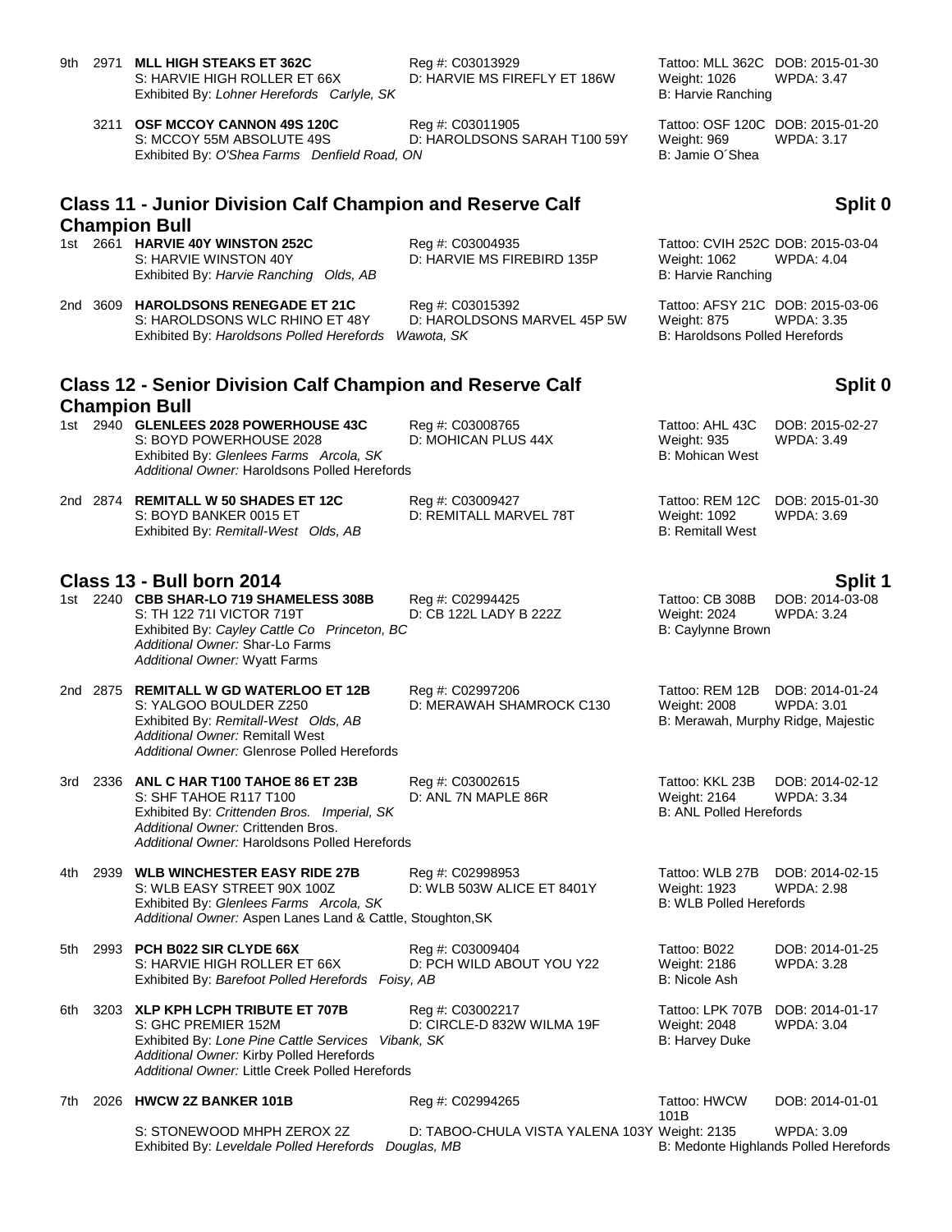- 9th 2971 **MLL HIGH STEAKS ET 362C** Reg #: C03013929 Tattoo: MLL 362C DOB: 2015-01-30 S: HARVIE HIGH ROLLER ET 66X D: HARVIE MS FIREFLY ET 186W Weight: 1026 WPDA: 3.47 Exhibited By: *Lohner Herefords Carlyle, SK* B: Harvie Ranching
	- 3211 **OSF MCCOY CANNON 49S 120C** Reg #: C03011905 Tattoo: OSF 120C DOB: 2015-01-20 S: MCCOY 55M ABSOLUTE 49S D: HAROLDSONS SARAH T100 59Y Weight: 969 WPDA: 3.17 Exhibited By: O'Shea Farms Denfield Road, ON B: Jamie O'Shea

### **Split 0**

### **Class 11 - Junior Division Calf Champion and Reserve Calf Champion Bull**

1st 2661 **HARVIE 40Y WINSTON 252C** Reg #: C03004935 Tattoo: CVIH 252C DOB: 2015-03-04 Exhibited By: *Harvie Ranching Olds, AB* B: Harvie Ranching **B: Harvie Ranching** 

2nd 3609 **HAROLDSONS RENEGADE ET 21C** Reg #: C03015392 Tattoo: AFSY 21C DOB: 2015-03-06 S: HAROLDSONS WLC RHINO ET 48Y D: HAROLDSONS MARVEL 45P 5W Weight: 875 WPDA: 3.35 Exhibited By: *Haroldsons Polled Herefords Wawota, SK* B: Haroldsons Polled Herefords

### **Class 12 - Senior Division Calf Champion and Reserve Calf Champion Bull**

*Additional Owner:* Haroldsons Polled Herefords

S: BOYD BANKER 0015 ET 
<br>
Exhibited By: Remitall-West Olds. AB
D: REMITALL MARVEL 78T
B: Remitall West
B: Remitall West
B. Remitall West
B. Remitall West
B. Remitall West

D: REMITALL MARVEL 78T

B. Remitall West

D: REMIT Exhibited By: Remitall-West Olds, AB

### **Class 13 - Bull born 2014 Split 1**

1st 2240 **CBB SHAR-LO 719 SHAMELESS 308B** Reg #: C02994425 Tattoo: CB 308B DOB: 2014-03-08 S: TH 122 71I VICTOR 719T D: CB 122L LADY B 222Z Weight: 2024 WPDA: 3.24 Exhibited By: *Cayley Cattle Co Princeton, BC* B: Caylynne Brown *Additional Owner:* Shar-Lo Farms *Additional Owner:* Wyatt Farms

2nd 2875 **REMITALL W GD WATERLOO ET 12B** Reg #: C02997206 Tattoo: REM 12B DOB: 2014-01-24 S: YALGOO BOULDER Z250 D: MERAWAH SHAMROCK C130 Weight: 2008 WPDA: 3.01 Exhibited By: *Remitall-West Olds, AB* B: Merawah, Murphy Ridge, Majestic *Additional Owner:* Remitall West *Additional Owner:* Glenrose Polled Herefords

3rd 2336 **ANL C HAR T100 TAHOE 86 ET 23B** Reg #: C03002615 Tattoo: KKL 23B DOB: 2014-02-12 S: SHF TAHOE R117 T100 D: ĀNL 7N MAPLE 86R Weight: 2164 WPD<br>Exhibited By: *Crittenden Bros. Imperial, SK* B: ANL Polled Herefords Exhibited By: Crittenden Bros. Imperial, SK *Additional Owner:* Crittenden Bros. *Additional Owner:* Haroldsons Polled Herefords

4th 2939 **WLB WINCHESTER EASY RIDE 27B** Reg #: C02998953 Tattoo: WLB 27B DOB: 2014-02-15 S: WLB EASY STREET 90X 100Z Exhibited By: Glenlees Farms Arcola, SK B: WLB Polled Herefords *Additional Owner:* Aspen Lanes Land & Cattle, Stoughton,SK

5th 2993 **PCH B022 SIR CLYDE 66X** Reg #: C03009404 Tattoo: B022 DOB: 2014-01-25<br>S: HARVIE HIGH ROLLER ET 66X D: PCH WILD ABOUT YOU Y22 Weight: 2186 WPDA: 3.28 S: HARVIE HIGH ROLLER ET 66X D: PCH WILD ABOUT YOU Y22 Weight: 2186<br>Exhibited By: *Barefoot Polled Herefords Foisy, AB* B: Nicole Ash Exhibited By: Barefoot Polled Herefords Foisy, AB

6th 3203 **XLP KPH LCPH TRIBUTE ET 707B** Reg #: C03002217 Tattoo: LPK 707B DOB: 2014-01-17 S: GHC PREMIER 152M D: CIRCLE-D 832W WILMA 19F Weight: 2048 WPDA: 3.04 Exhibited By: *Lone Pine Cattle Services Vibank, SK* B: Harvey Duke *Additional Owner:* Kirby Polled Herefords *Additional Owner:* Little Creek Polled Herefords

7th 2026 **HWCW 2Z BANKER 101B** Reg #: C02994265 Tattoo: HWCW 101B DOB: 2014-01-01

S: STONEWOOD MHPH ZEROX 2Z D: TABOO-CHULA VISTA YALENA 103Y Weight: 2135 WPDA: 3.09<br>Exhibited By: Leveldale Polled Herefords Douglas, MB B: Medonte Highlands Polled Herefords Exhibited By: Leveldale Polled Herefords Douglas, MB

D: HARVIE MS FIREBIRD 135P Weight: 1062

## **Split 0**

1st 2940 **GLENLEES 2028 POWERHOUSE 43C** Reg #: C03008765 Tattoo: AHL 43C DOB: 2015-02-27 S: BOYD POWERHOUSE 2028 D: MOHICAN PLUS 44X Weight: 935 WPDA: 3.49 Exhibited By: Glenlees Farms Arcola, SK B: Mohican West 2nd 2874 **REMITALL W 50 SHADES ET 12C** Reg #: C03009427 Tattoo: REM 12C DOB: 2015-01-30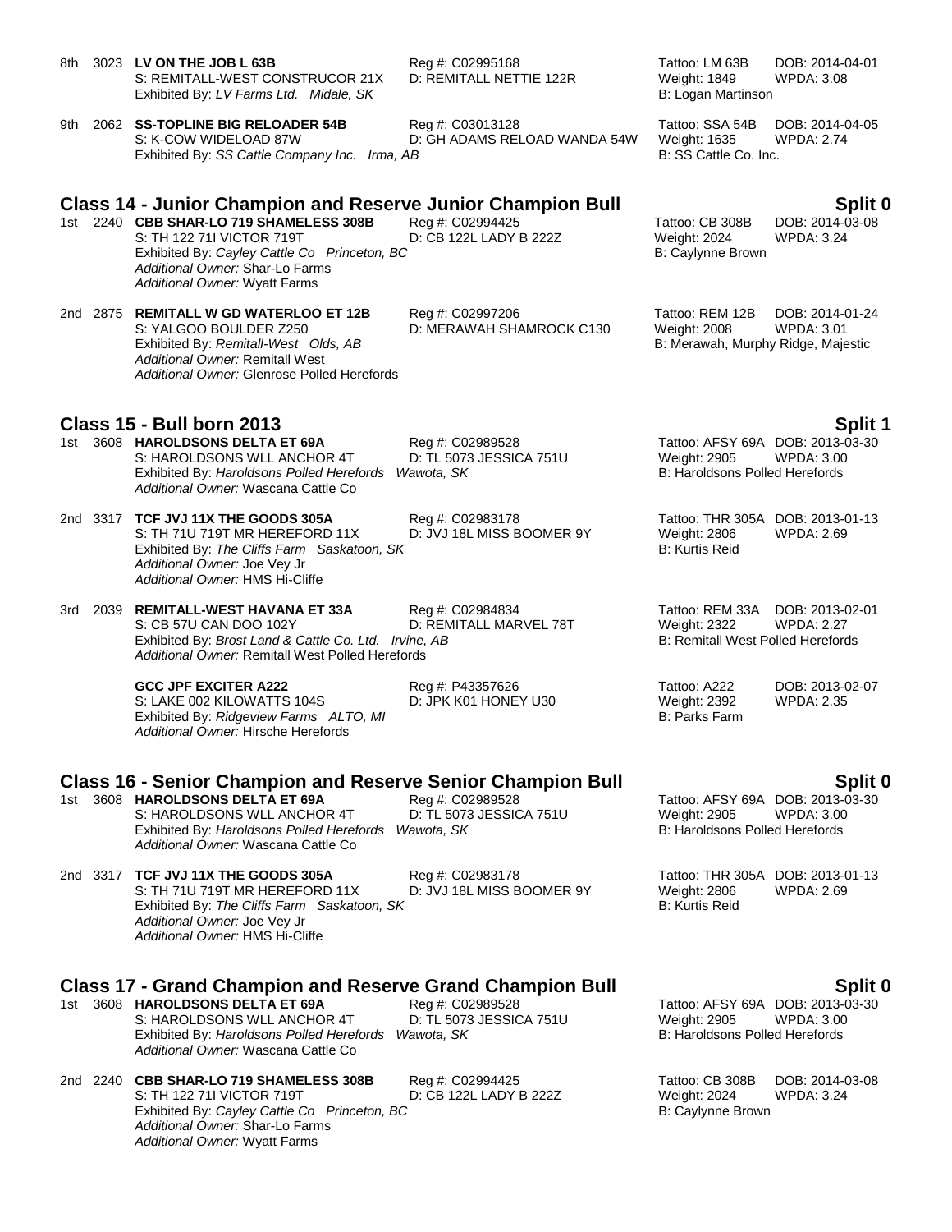| 8th | 3023 LV ON THE JOB L 63B<br>S: REMITALL-WEST CONSTRUCOR 21X<br>Exhibited By: LV Farms Ltd. Midale, SK                                                                                                                                                                 | Reg #: C02995168<br>D: REMITALL NETTIE 122R               | Tattoo: LM 63B<br>Weight: 1849<br>B: Logan Martinson                                      | DOB: 2014-04-01<br><b>WPDA: 3.08</b>                  |
|-----|-----------------------------------------------------------------------------------------------------------------------------------------------------------------------------------------------------------------------------------------------------------------------|-----------------------------------------------------------|-------------------------------------------------------------------------------------------|-------------------------------------------------------|
| 9th | 2062 SS-TOPLINE BIG RELOADER 54B<br>S: K-COW WIDELOAD 87W<br>Exhibited By: SS Cattle Company Inc. Irma, AB                                                                                                                                                            | Reg #: C03013128<br>D: GH ADAMS RELOAD WANDA 54W          | Tattoo: SSA 54B<br>Weight: 1635<br>B: SS Cattle Co. Inc.                                  | DOB: 2014-04-05<br><b>WPDA: 2.74</b>                  |
|     | <b>Class 14 - Junior Champion and Reserve Junior Champion Bull</b><br>1st 2240 CBB SHAR-LO 719 SHAMELESS 308B<br>S: TH 122 711 VICTOR 719T<br>Exhibited By: Cayley Cattle Co Princeton, BC<br>Additional Owner: Shar-Lo Farms<br><b>Additional Owner: Wyatt Farms</b> | Reg #: C02994425<br>D: CB 122L LADY B 222Z                | Tattoo: CB 308B<br>Weight: 2024<br>B: Caylynne Brown                                      | Split 0<br>DOB: 2014-03-08<br><b>WPDA: 3.24</b>       |
|     | 2nd 2875 REMITALL W GD WATERLOO ET 12B<br>S: YALGOO BOULDER Z250<br>Exhibited By: Remitall-West Olds, AB<br>Additional Owner: Remitall West<br>Additional Owner: Glenrose Polled Herefords                                                                            | Reg #: C02997206<br>D: MERAWAH SHAMROCK C130              | Tattoo: REM 12B<br>Weight: 2008<br>B: Merawah, Murphy Ridge, Majestic                     | DOB: 2014-01-24<br><b>WPDA: 3.01</b>                  |
|     | <b>Class 15 - Bull born 2013</b>                                                                                                                                                                                                                                      |                                                           |                                                                                           | Split 1                                               |
|     | 1st 3608 HAROLDSONS DELTA ET 69A<br>S: HAROLDSONS WLL ANCHOR 4T<br>Exhibited By: Haroldsons Polled Herefords<br>Additional Owner: Wascana Cattle Co                                                                                                                   | Reg #: C02989528<br>D: TL 5073 JESSICA 751U<br>Wawota, SK | Weight: 2905<br><b>B: Haroldsons Polled Herefords</b>                                     | Tattoo: AFSY 69A DOB: 2013-03-30<br><b>WPDA: 3.00</b> |
|     | 2nd 3317 TCF JVJ 11X THE GOODS 305A<br>S: TH 71U 719T MR HEREFORD 11X<br>Exhibited By: The Cliffs Farm Saskatoon, SK<br>Additional Owner: Joe Vey Jr<br>Additional Owner: HMS Hi-Cliffe                                                                               | Reg #: C02983178<br>D: JVJ 18L MISS BOOMER 9Y             | Weight: 2806<br><b>B: Kurtis Reid</b>                                                     | Tattoo: THR 305A DOB: 2013-01-13<br><b>WPDA: 2.69</b> |
| 3rd | 2039 REMITALL-WEST HAVANA ET 33A<br>S: CB 57U CAN DOO 102Y<br>Exhibited By: Brost Land & Cattle Co. Ltd. Irvine, AB<br>Additional Owner: Remitall West Polled Herefords                                                                                               | Reg #: C02984834<br>D: REMITALL MARVEL 78T                | Tattoo: REM 33A<br><b>Weight: 2322</b><br><b>B: Remitall West Polled Herefords</b>        | DOB: 2013-02-01<br><b>WPDA: 2.27</b>                  |
|     | <b>GCC JPF EXCITER A222</b><br>S: LAKE 002 KILOWATTS 104S<br>Exhibited By: Ridgeview Farms ALTO, MI<br>Additional Owner: Hirsche Herefords                                                                                                                            | Reg #: P43357626<br>D: JPK K01 HONEY U30                  | Tattoo: A222<br><b>Weight: 2392</b><br><b>B: Parks Farm</b>                               | DOB: 2013-02-07<br><b>WPDA: 2.35</b>                  |
|     | <b>Class 16 - Senior Champion and Reserve Senior Champion Bull</b>                                                                                                                                                                                                    |                                                           |                                                                                           | Split 0                                               |
|     | 1st 3608 HAROLDSONS DELTA ET 69A<br>S: HAROLDSONS WLL ANCHOR 4T<br>Exhibited By: Haroldsons Polled Herefords<br>Additional Owner: Wascana Cattle Co                                                                                                                   | Reg #: C02989528<br>D: TL 5073 JESSICA 751U<br>Wawota, SK | Tattoo: AFSY 69A DOB: 2013-03-30<br>Weight: 2905<br><b>B: Haroldsons Polled Herefords</b> | <b>WPDA: 3.00</b>                                     |
|     | 2nd 3317 TCF JVJ 11X THE GOODS 305A<br>S: TH 71U 719T MR HEREFORD 11X<br>Exhibited By: The Cliffs Farm Saskatoon, SK<br>Additional Owner: Joe Vey Jr<br>Additional Owner: HMS Hi-Cliffe                                                                               | Reg #: C02983178<br>D: JVJ 18L MISS BOOMER 9Y             | Tattoo: THR 305A DOB: 2013-01-13<br><b>Weight: 2806</b><br><b>B: Kurtis Reid</b>          | <b>WPDA: 2.69</b>                                     |
|     | <b>Class 17 - Grand Champion and Reserve Grand Champion Bull</b>                                                                                                                                                                                                      |                                                           |                                                                                           | <b>Split 0</b>                                        |
|     | 1st 3608 HAROLDSONS DELTA ET 69A<br>S: HAROLDSONS WLL ANCHOR 4T<br>Exhibited By: Haroldsons Polled Herefords<br>Additional Owner: Wascana Cattle Co                                                                                                                   | Reg #: C02989528<br>D: TL 5073 JESSICA 751U<br>Wawota, SK | Tattoo: AFSY 69A DOB: 2013-03-30<br>Weight: 2905<br><b>B: Haroldsons Polled Herefords</b> | WPDA: 3.00                                            |
|     | 2nd 2240 CBB SHAR-LO 719 SHAMELESS 308B<br>S: TH 122 711 VICTOR 719T<br>Exhibited By: Cayley Cattle Co Princeton, BC                                                                                                                                                  | Reg #: C02994425<br>D: CB 122L LADY B 222Z                | Tattoo: CB 308B<br><b>Weight: 2024</b><br>B: Caylynne Brown                               | DOB: 2014-03-08<br><b>WPDA: 3.24</b>                  |

*Additional Owner:* Shar-Lo Farms *Additional Owner:* Wyatt Farms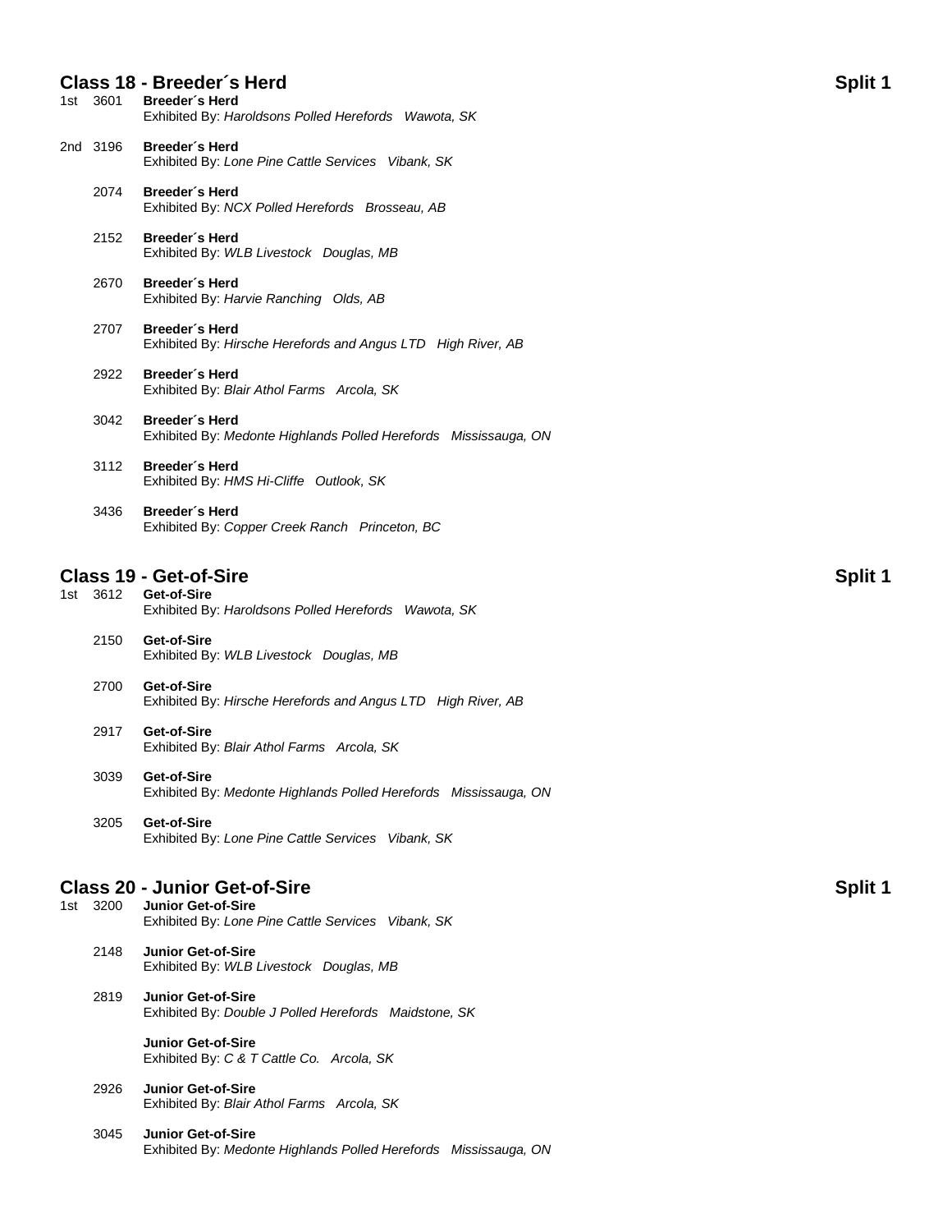|       | 1st 3601 | Class 18 - Breeder's Herd<br>Breeder's Herd<br>Exhibited By: Haroldsons Polled Herefords Wawota, SK | <b>Split 1</b> |
|-------|----------|-----------------------------------------------------------------------------------------------------|----------------|
|       | 2nd 3196 | Breeder's Herd<br>Exhibited By: Lone Pine Cattle Services Vibank, SK                                |                |
|       | 2074     | Breeder's Herd<br>Exhibited By: NCX Polled Herefords Brosseau, AB                                   |                |
|       | 2152     | Breeder's Herd<br>Exhibited By: WLB Livestock Douglas, MB                                           |                |
|       | 2670     | Breeder's Herd<br>Exhibited By: Harvie Ranching Olds, AB                                            |                |
|       | 2707     | Breeder's Herd<br>Exhibited By: Hirsche Herefords and Angus LTD High River, AB                      |                |
|       | 2922     | Breeder's Herd<br>Exhibited By: Blair Athol Farms Arcola, SK                                        |                |
|       | 3042     | Breeder's Herd<br>Exhibited By: Medonte Highlands Polled Herefords Mississauga, ON                  |                |
|       | 3112     | Breeder's Herd<br>Exhibited By: HMS Hi-Cliffe Outlook, SK                                           |                |
|       | 3436     | Breeder's Herd<br>Exhibited By: Copper Creek Ranch Princeton, BC                                    |                |
|       |          | <b>Class 19 - Get-of-Sire</b>                                                                       | Split 1        |
|       | 1st 3612 | Get-of-Sire<br>Exhibited By: Haroldsons Polled Herefords Wawota, SK                                 |                |
|       | 2150     | Get-of-Sire<br>Exhibited By: WLB Livestock Douglas, MB                                              |                |
|       | 2700     | Get-of-Sire<br>Exhibited By: Hirsche Herefords and Angus LTD High River, AB                         |                |
|       | 2917     | Get-of-Sire<br>Exhibited By: Blair Athol Farms Arcola, SK                                           |                |
|       | 3039     | Get-of-Sire<br>Exhibited By: Medonte Highlands Polled Herefords Mississauga, ON                     |                |
|       | 3205     | Get-of-Sire<br>Exhibited By: Lone Pine Cattle Services Vibank, SK                                   |                |
|       |          | <b>Class 20 - Junior Get-of-Sire</b>                                                                | <b>Split 1</b> |
| 1st l | 3200     | <b>Junior Get-of-Sire</b><br>Exhibited By: Lone Pine Cattle Services Vibank, SK                     |                |
|       | 2148     | <b>Junior Get-of-Sire</b><br>Exhibited By: WLB Livestock Douglas, MB                                |                |
|       | 2819     | <b>Junior Get-of-Sire</b>                                                                           |                |

Exhibited By: *Double J Polled Herefords Maidstone, SK*

**Junior Get-of-Sire** Exhibited By: *C & T Cattle Co. Arcola, SK*

- 2926 **Junior Get-of-Sire** Exhibited By: *Blair Athol Farms Arcola, SK*
- 3045 **Junior Get-of-Sire** Exhibited By: *Medonte Highlands Polled Herefords Mississauga, ON*